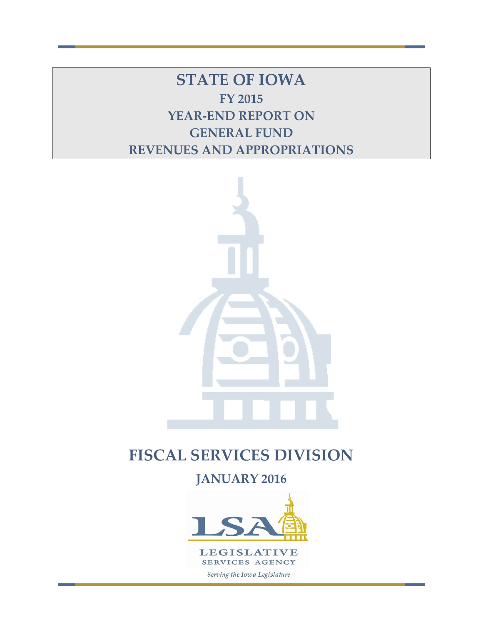**STATE OF IOWA FY 2015 YEAR-END REPORT ON GENERAL FUND REVENUES AND APPROPRIATIONS**



# **FISCAL SERVICES DIVISION**

**JANUARY 2016**

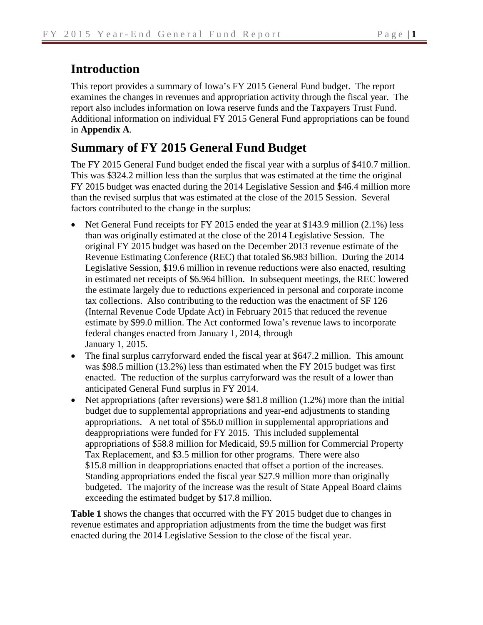# **Introduction**

This report provides a summary of Iowa's FY 2015 General Fund budget. The report examines the changes in revenues and appropriation activity through the fiscal year. The report also includes information on Iowa reserve funds and the Taxpayers Trust Fund. Additional information on individual FY 2015 General Fund appropriations can be found in **Appendix A**.

# **Summary of FY 2015 General Fund Budget**

The FY 2015 General Fund budget ended the fiscal year with a surplus of \$410.7 million. This was \$324.2 million less than the surplus that was estimated at the time the original FY 2015 budget was enacted during the 2014 Legislative Session and \$46.4 million more than the revised surplus that was estimated at the close of the 2015 Session. Several factors contributed to the change in the surplus:

- Net General Fund receipts for FY 2015 ended the year at \$143.9 million (2.1%) less than was originally estimated at the close of the 2014 Legislative Session. The original FY 2015 budget was based on the December 2013 revenue estimate of the Revenue Estimating Conference (REC) that totaled \$6.983 billion. During the 2014 Legislative Session, \$19.6 million in revenue reductions were also enacted, resulting in estimated net receipts of \$6.964 billion. In subsequent meetings, the REC lowered the estimate largely due to reductions experienced in personal and corporate income tax collections. Also contributing to the reduction was the enactment of SF 126 (Internal Revenue Code Update Act) in February 2015 that reduced the revenue estimate by \$99.0 million. The Act conformed Iowa's revenue laws to incorporate federal changes enacted from January 1, 2014, through January 1, 2015.
- The final surplus carryforward ended the fiscal year at \$647.2 million. This amount was \$98.5 million (13.2%) less than estimated when the FY 2015 budget was first enacted. The reduction of the surplus carryforward was the result of a lower than anticipated General Fund surplus in FY 2014.
- Net appropriations (after reversions) were \$81.8 million (1.2%) more than the initial budget due to supplemental appropriations and year-end adjustments to standing appropriations. A net total of \$56.0 million in supplemental appropriations and deappropriations were funded for FY 2015. This included supplemental appropriations of \$58.8 million for Medicaid, \$9.5 million for Commercial Property Tax Replacement, and \$3.5 million for other programs. There were also \$15.8 million in deappropriations enacted that offset a portion of the increases. Standing appropriations ended the fiscal year \$27.9 million more than originally budgeted. The majority of the increase was the result of State Appeal Board claims exceeding the estimated budget by \$17.8 million.

**Table 1** shows the changes that occurred with the FY 2015 budget due to changes in revenue estimates and appropriation adjustments from the time the budget was first enacted during the 2014 Legislative Session to the close of the fiscal year.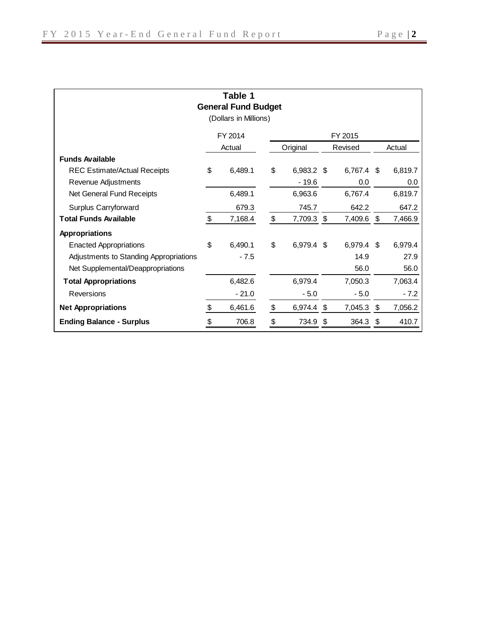| Table 1<br><b>General Fund Budget</b><br>(Dollars in Millions) |    |         |    |            |         |            |    |         |  |  |  |
|----------------------------------------------------------------|----|---------|----|------------|---------|------------|----|---------|--|--|--|
|                                                                |    | FY 2014 |    | FY 2015    |         |            |    |         |  |  |  |
|                                                                |    | Actual  |    | Original   | Revised |            |    | Actual  |  |  |  |
| <b>Funds Available</b>                                         |    |         |    |            |         |            |    |         |  |  |  |
| <b>REC Estimate/Actual Receipts</b>                            | \$ | 6,489.1 | \$ | 6,983.2 \$ |         | 6,767.4 \$ |    | 6,819.7 |  |  |  |
| Revenue Adjustments                                            |    |         |    | $-19.6$    |         | 0.0        |    | 0.0     |  |  |  |
| Net General Fund Receipts                                      |    | 6,489.1 |    | 6,963.6    |         | 6,767.4    |    | 6,819.7 |  |  |  |
| Surplus Carryforward                                           |    | 679.3   |    | 745.7      |         | 642.2      |    | 647.2   |  |  |  |
| <b>Total Funds Available</b>                                   | \$ | 7,168.4 | \$ | 7,709.3    | \$      | 7,409.6    | \$ | 7,466.9 |  |  |  |
| <b>Appropriations</b>                                          |    |         |    |            |         |            |    |         |  |  |  |
| <b>Enacted Appropriations</b>                                  | \$ | 6,490.1 | \$ | 6,979.4 \$ |         | 6,979.4 \$ |    | 6,979.4 |  |  |  |
| Adjustments to Standing Appropriations                         |    | - 7.5   |    |            |         | 14.9       |    | 27.9    |  |  |  |
| Net Supplemental/Deappropriations                              |    |         |    |            |         | 56.0       |    | 56.0    |  |  |  |
| <b>Total Appropriations</b>                                    |    | 6,482.6 |    | 6,979.4    |         | 7,050.3    |    | 7,063.4 |  |  |  |
| Reversions                                                     |    | $-21.0$ |    | $-5.0$     |         | $-5.0$     |    | $-7.2$  |  |  |  |
| <b>Net Appropriations</b>                                      | S  | 6,461.6 | \$ | 6,974.4    | \$      | 7,045.3    | \$ | 7,056.2 |  |  |  |
| <b>Ending Balance - Surplus</b>                                | \$ | 706.8   | \$ | 734.9      | \$      | 364.3      | \$ | 410.7   |  |  |  |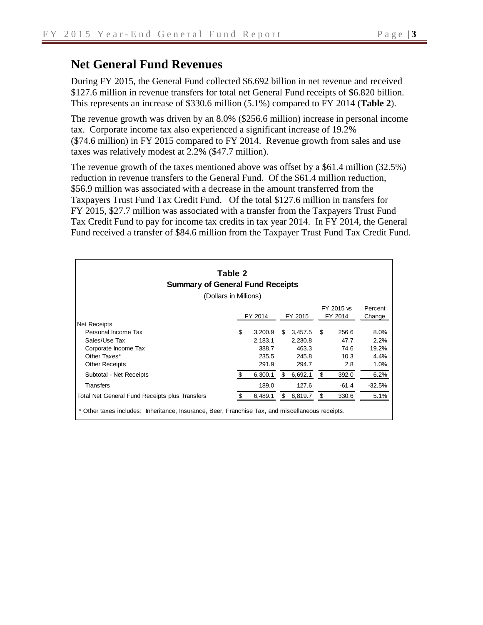During FY 2015, the General Fund collected \$6.692 billion in net revenue and received \$127.6 million in revenue transfers for total net General Fund receipts of \$6.820 billion. This represents an increase of \$330.6 million (5.1%) compared to FY 2014 (**Table 2**).

The revenue growth was driven by an 8.0% (\$256.6 million) increase in personal income tax. Corporate income tax also experienced a significant increase of 19.2% (\$74.6 million) in FY 2015 compared to FY 2014. Revenue growth from sales and use taxes was relatively modest at 2.2% (\$47.7 million).

The revenue growth of the taxes mentioned above was offset by a \$61.4 million (32.5%) reduction in revenue transfers to the General Fund. Of the \$61.4 million reduction, \$56.9 million was associated with a decrease in the amount transferred from the Taxpayers Trust Fund Tax Credit Fund. Of the total \$127.6 million in transfers for FY 2015, \$27.7 million was associated with a transfer from the Taxpayers Trust Fund Tax Credit Fund to pay for income tax credits in tax year 2014. In FY 2014, the General Fund received a transfer of \$84.6 million from the Taxpayer Trust Fund Tax Credit Fund.

| Table 2<br><b>Summary of General Fund Receipts</b><br>(Dollars in Millions)                      |         |                    |         |                    |                       |               |                   |  |  |  |  |
|--------------------------------------------------------------------------------------------------|---------|--------------------|---------|--------------------|-----------------------|---------------|-------------------|--|--|--|--|
|                                                                                                  | FY 2014 |                    | FY 2015 |                    | FY 2015 vs<br>FY 2014 |               | Percent<br>Change |  |  |  |  |
| <b>Net Receipts</b>                                                                              |         |                    |         |                    |                       |               |                   |  |  |  |  |
| Personal Income Tax<br>Sales/Use Tax                                                             | \$      | 3,200.9<br>2,183.1 | \$.     | 3,457.5<br>2,230.8 | \$.                   | 256.6<br>47.7 | 8.0%<br>2.2%      |  |  |  |  |
| Corporate Income Tax                                                                             |         | 388.7              |         | 463.3              |                       | 74.6          | 19.2%             |  |  |  |  |
| Other Taxes*                                                                                     |         | 235.5              |         | 245.8              |                       | 10.3          | 4.4%              |  |  |  |  |
| <b>Other Receipts</b>                                                                            |         | 291.9              |         | 294.7              |                       | 2.8           | 1.0%              |  |  |  |  |
| Subtotal - Net Receipts                                                                          | \$      | 6,300.1            | \$      | 6,692.1            | \$                    | 392.0         | 6.2%              |  |  |  |  |
| <b>Transfers</b>                                                                                 |         | 189.0              |         | 127.6              |                       | $-61.4$       | $-32.5%$          |  |  |  |  |
| Total Net General Fund Receipts plus Transfers                                                   |         | 6,489.1            | \$      | 6,819.7            | \$                    | 330.6         | 5.1%              |  |  |  |  |
| * Other taxes includes: Inheritance, Insurance, Beer, Franchise Tax, and miscellaneous receipts. |         |                    |         |                    |                       |               |                   |  |  |  |  |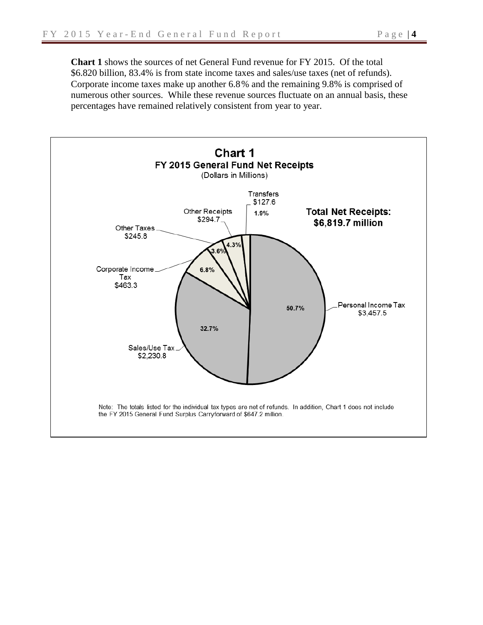**Chart 1** shows the sources of net General Fund revenue for FY 2015. Of the total \$6.820 billion, 83.4% is from state income taxes and sales/use taxes (net of refunds). Corporate income taxes make up another 6.8% and the remaining 9.8% is comprised of numerous other sources. While these revenue sources fluctuate on an annual basis, these percentages have remained relatively consistent from year to year.

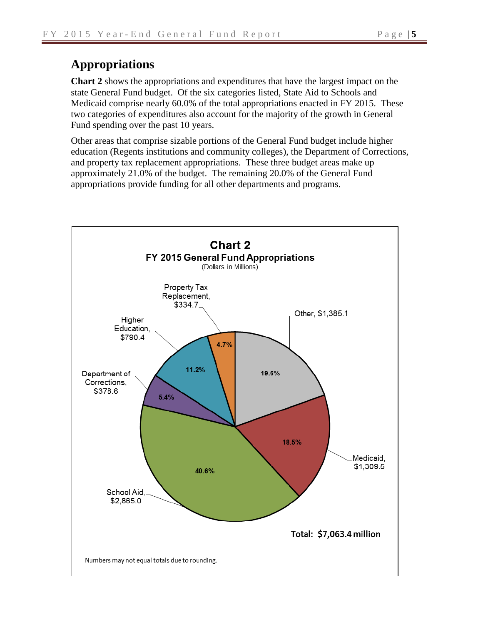## **Appropriations**

**Chart 2** shows the appropriations and expenditures that have the largest impact on the state General Fund budget. Of the six categories listed, State Aid to Schools and Medicaid comprise nearly 60.0% of the total appropriations enacted in FY 2015. These two categories of expenditures also account for the majority of the growth in General Fund spending over the past 10 years.

Other areas that comprise sizable portions of the General Fund budget include higher education (Regents institutions and community colleges), the Department of Corrections, and property tax replacement appropriations. These three budget areas make up approximately 21.0% of the budget. The remaining 20.0% of the General Fund appropriations provide funding for all other departments and programs.

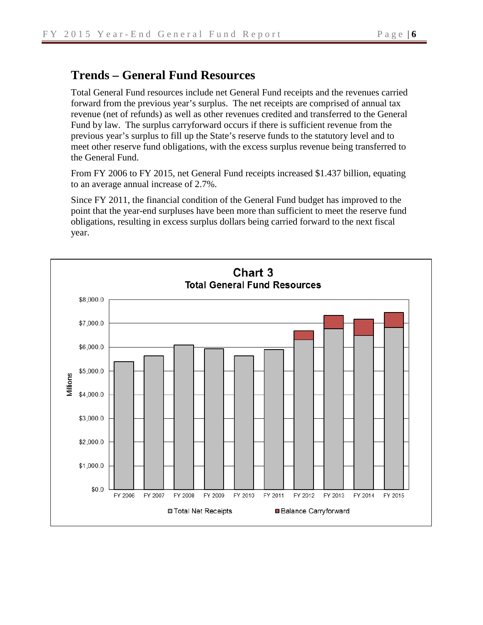### **Trends – General Fund Resources**

Total General Fund resources include net General Fund receipts and the revenues carried forward from the previous year's surplus. The net receipts are comprised of annual tax revenue (net of refunds) as well as other revenues credited and transferred to the General Fund by law. The surplus carryforward occurs if there is sufficient revenue from the previous year's surplus to fill up the State's reserve funds to the statutory level and to meet other reserve fund obligations, with the excess surplus revenue being transferred to the General Fund.

From FY 2006 to FY 2015, net General Fund receipts increased \$1.437 billion, equating to an average annual increase of 2.7%.

Since FY 2011, the financial condition of the General Fund budget has improved to the point that the year-end surpluses have been more than sufficient to meet the reserve fund obligations, resulting in excess surplus dollars being carried forward to the next fiscal year.

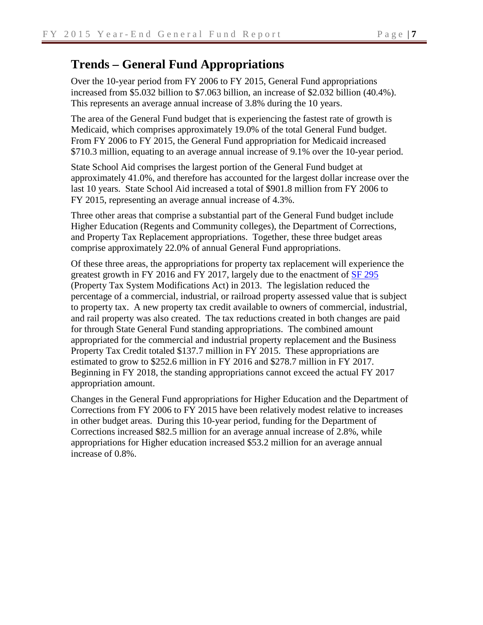# **Trends – General Fund Appropriations**

Over the 10-year period from FY 2006 to FY 2015, General Fund appropriations increased from \$5.032 billion to \$7.063 billion, an increase of \$2.032 billion (40.4%). This represents an average annual increase of 3.8% during the 10 years.

The area of the General Fund budget that is experiencing the fastest rate of growth is Medicaid, which comprises approximately 19.0% of the total General Fund budget. From FY 2006 to FY 2015, the General Fund appropriation for Medicaid increased \$710.3 million, equating to an average annual increase of 9.1% over the 10-year period.

State School Aid comprises the largest portion of the General Fund budget at approximately 41.0%, and therefore has accounted for the largest dollar increase over the last 10 years. State School Aid increased a total of \$901.8 million from FY 2006 to FY 2015, representing an average annual increase of 4.3%.

Three other areas that comprise a substantial part of the General Fund budget include Higher Education (Regents and Community colleges), the Department of Corrections, and Property Tax Replacement appropriations. Together, these three budget areas comprise approximately 22.0% of annual General Fund appropriations.

Of these three areas, the appropriations for property tax replacement will experience the greatest growth in FY 2016 and FY 2017, largely due to the enactment of [SF 295](https://www.legis.iowa.gov/legislation/BillBook?ga=85&ba=SF295) (Property Tax System Modifications Act) in 2013. The legislation reduced the percentage of a commercial, industrial, or railroad property assessed value that is subject to property tax. A new property tax credit available to owners of commercial, industrial, and rail property was also created. The tax reductions created in both changes are paid for through State General Fund standing appropriations. The combined amount appropriated for the commercial and industrial property replacement and the Business Property Tax Credit totaled \$137.7 million in FY 2015. These appropriations are estimated to grow to \$252.6 million in FY 2016 and \$278.7 million in FY 2017. Beginning in FY 2018, the standing appropriations cannot exceed the actual FY 2017 appropriation amount.

Changes in the General Fund appropriations for Higher Education and the Department of Corrections from FY 2006 to FY 2015 have been relatively modest relative to increases in other budget areas. During this 10-year period, funding for the Department of Corrections increased \$82.5 million for an average annual increase of 2.8%, while appropriations for Higher education increased \$53.2 million for an average annual increase of 0.8%.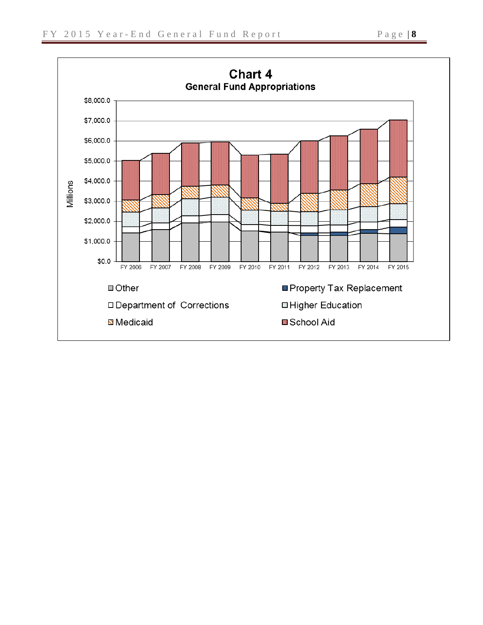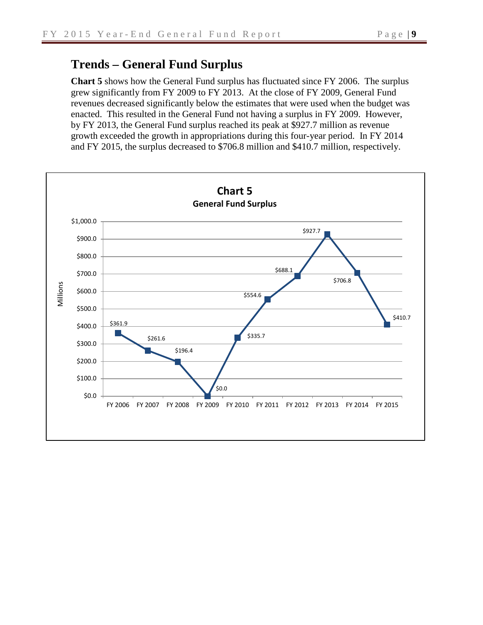### **Trends – General Fund Surplus**

**Chart 5** shows how the General Fund surplus has fluctuated since FY 2006. The surplus grew significantly from FY 2009 to FY 2013. At the close of FY 2009, General Fund revenues decreased significantly below the estimates that were used when the budget was enacted. This resulted in the General Fund not having a surplus in FY 2009. However, by FY 2013, the General Fund surplus reached its peak at \$927.7 million as revenue growth exceeded the growth in appropriations during this four-year period. In FY 2014 and FY 2015, the surplus decreased to \$706.8 million and \$410.7 million, respectively.

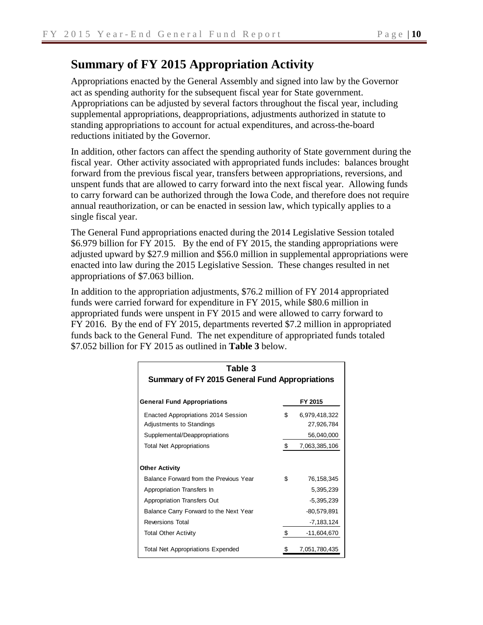## **Summary of FY 2015 Appropriation Activity**

Appropriations enacted by the General Assembly and signed into law by the Governor act as spending authority for the subsequent fiscal year for State government. Appropriations can be adjusted by several factors throughout the fiscal year, including supplemental appropriations, deappropriations, adjustments authorized in statute to standing appropriations to account for actual expenditures, and across-the-board reductions initiated by the Governor.

In addition, other factors can affect the spending authority of State government during the fiscal year. Other activity associated with appropriated funds includes: balances brought forward from the previous fiscal year, transfers between appropriations, reversions, and unspent funds that are allowed to carry forward into the next fiscal year. Allowing funds to carry forward can be authorized through the Iowa Code, and therefore does not require annual reauthorization, or can be enacted in session law, which typically applies to a single fiscal year.

The General Fund appropriations enacted during the 2014 Legislative Session totaled \$6.979 billion for FY 2015. By the end of FY 2015, the standing appropriations were adjusted upward by \$27.9 million and \$56.0 million in supplemental appropriations were enacted into law during the 2015 Legislative Session. These changes resulted in net appropriations of \$7.063 billion.

In addition to the appropriation adjustments, \$76.2 million of FY 2014 appropriated funds were carried forward for expenditure in FY 2015, while \$80.6 million in appropriated funds were unspent in FY 2015 and were allowed to carry forward to FY 2016. By the end of FY 2015, departments reverted \$7.2 million in appropriated funds back to the General Fund. The net expenditure of appropriated funds totaled \$7.052 billion for FY 2015 as outlined in **Table 3** below.

| Table 3<br><b>Summary of FY 2015 General Fund Appropriations</b>       |    |                             |  |  |  |  |  |  |
|------------------------------------------------------------------------|----|-----------------------------|--|--|--|--|--|--|
| <b>General Fund Appropriations</b>                                     |    | FY 2015                     |  |  |  |  |  |  |
| <b>Enacted Appropriations 2014 Session</b><br>Adjustments to Standings | \$ | 6,979,418,322<br>27,926,784 |  |  |  |  |  |  |
| Supplemental/Deappropriations<br><b>Total Net Appropriations</b>       | \$ | 56,040,000<br>7,063,385,106 |  |  |  |  |  |  |
| <b>Other Activity</b>                                                  |    |                             |  |  |  |  |  |  |
| Balance Forward from the Previous Year                                 | \$ | 76.158.345                  |  |  |  |  |  |  |
| Appropriation Transfers In                                             |    | 5,395,239                   |  |  |  |  |  |  |
| Appropriation Transfers Out                                            |    | $-5,395,239$                |  |  |  |  |  |  |
| Balance Carry Forward to the Next Year                                 |    | $-80,579,891$               |  |  |  |  |  |  |
| <b>Reversions Total</b>                                                |    | $-7, 183, 124$              |  |  |  |  |  |  |
| <b>Total Other Activity</b>                                            | \$ | $-11,604,670$               |  |  |  |  |  |  |
| <b>Total Net Appropriations Expended</b>                               |    | 7,051,780,435               |  |  |  |  |  |  |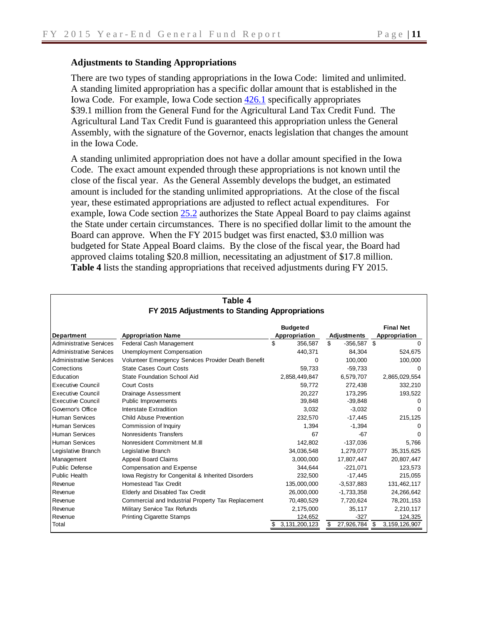#### **Adjustments to Standing Appropriations**

There are two types of standing appropriations in the Iowa Code: limited and unlimited. A standing limited appropriation has a specific dollar amount that is established in the Iowa Code. For example, Iowa Code section [426.1](https://www.legis.iowa.gov/docs/ico/section/2013/426.1.pdf) specifically appropriates \$39.1 million from the General Fund for the Agricultural Land Tax Credit Fund. The Agricultural Land Tax Credit Fund is guaranteed this appropriation unless the General Assembly, with the signature of the Governor, enacts legislation that changes the amount in the Iowa Code.

A standing unlimited appropriation does not have a dollar amount specified in the Iowa Code. The exact amount expended through these appropriations is not known until the close of the fiscal year. As the General Assembly develops the budget, an estimated amount is included for the standing unlimited appropriations. At the close of the fiscal year, these estimated appropriations are adjusted to reflect actual expenditures. For example, Iowa Code section [25.2](https://www.legis.iowa.gov/docs/ico/section/2013/25.2.pdf) authorizes the State Appeal Board to pay claims against the State under certain circumstances. There is no specified dollar limit to the amount the Board can approve. When the FY 2015 budget was first enacted, \$3.0 million was budgeted for State Appeal Board claims. By the close of the fiscal year, the Board had approved claims totaling \$20.8 million, necessitating an adjustment of \$17.8 million. **Table 4** lists the standing appropriations that received adjustments during FY 2015.

|                                | FY 2015 Adjustments to Standing Appropriations      |                 |                                     |                                   |  |  |
|--------------------------------|-----------------------------------------------------|-----------------|-------------------------------------|-----------------------------------|--|--|
|                                |                                                     | <b>Budgeted</b> |                                     | <b>Final Net</b><br>Appropriation |  |  |
| <b>Department</b>              | <b>Appropriation Name</b>                           |                 | Appropriation<br><b>Adjustments</b> |                                   |  |  |
| <b>Administrative Services</b> | Federal Cash Management                             | \$.<br>356.587  | \$.<br>$-356,587$ \$                |                                   |  |  |
| <b>Administrative Services</b> | Unemployment Compensation                           | 440,371         | 84,304                              | 524,675                           |  |  |
| <b>Administrative Services</b> | Volunteer Emergency Services Provider Death Benefit | 0               | 100,000                             | 100,000                           |  |  |
| Corrections                    | <b>State Cases Court Costs</b>                      | 59.733          | $-59,733$                           |                                   |  |  |
| Education                      | <b>State Foundation School Aid</b>                  | 2,858,449,847   | 6,579,707                           | 2,865,029,554                     |  |  |
| <b>Executive Council</b>       | Court Costs                                         | 59,772          | 272,438                             | 332,210                           |  |  |
| <b>Executive Council</b>       | Drainage Assessment                                 | 20.227          | 173,295                             | 193,522                           |  |  |
| <b>Executive Council</b>       | Public Improvements                                 | 39,848          | $-39,848$                           | $^{(1)}$                          |  |  |
| Governor's Office              | Interstate Extradition                              | 3,032           | $-3,032$                            |                                   |  |  |
| <b>Human Services</b>          | Child Abuse Prevention                              | 232,570         | $-17,445$                           | 215,125                           |  |  |
| <b>Human Services</b>          | Commission of Inquiry                               | 1.394           | $-1,394$                            | $^{(1)}$                          |  |  |
| <b>Human Services</b>          | Nonresidents Transfers                              | 67              | $-67$                               |                                   |  |  |
| <b>Human Services</b>          | Nonresident Commitment M.III                        | 142,802         | $-137,036$                          | 5,766                             |  |  |
| Legislative Branch             | Legislative Branch                                  | 34,036,548      | 1,279,077                           | 35,315,625                        |  |  |
| Management                     | Appeal Board Claims                                 | 3,000,000       | 17,807,447                          | 20,807,447                        |  |  |
| Public Defense                 | Compensation and Expense                            | 344,644         | $-221,071$                          | 123,573                           |  |  |
| <b>Public Health</b>           | lowa Registry for Congenital & Inherited Disorders  | 232,500         | $-17,445$                           | 215,055                           |  |  |
| Revenue                        | <b>Homestead Tax Credit</b>                         | 135,000,000     | $-3,537,883$                        | 131,462,117                       |  |  |
| Revenue                        | Elderly and Disabled Tax Credit                     | 26,000,000      | $-1,733,358$                        | 24,266,642                        |  |  |
| Revenue                        | Commercial and Industrial Property Tax Replacement  | 70,480,529      | 7,720,624                           | 78,201,153                        |  |  |
| Revenue                        | Military Service Tax Refunds                        | 2,175,000       | 35,117                              | 2,210,117                         |  |  |
| Revenue                        | <b>Printing Cigarette Stamps</b>                    | 124,652         | $-327$                              | 124,325                           |  |  |
| Total                          |                                                     | 3,131,200,123   | 27,926,784<br>S                     | 3, 159, 126, 907<br>\$            |  |  |

# **Table 4**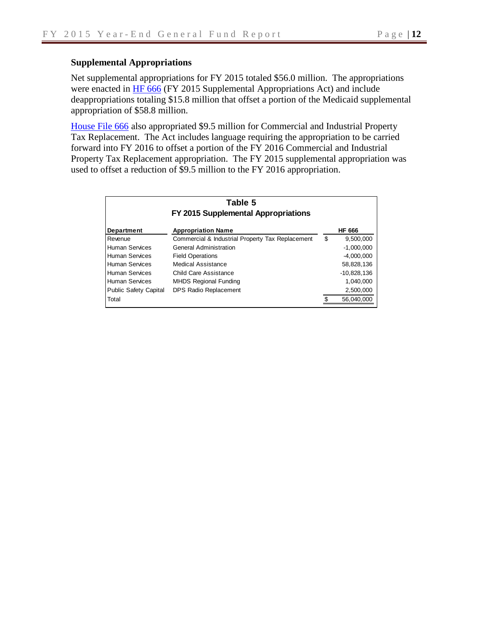#### **Supplemental Appropriations**

Net supplemental appropriations for FY 2015 totaled \$56.0 million. The appropriations were enacted in [HF 666](http://coolice.legis.iowa.gov/Cool-ICE/default.asp?Category=billinfo&Service=Billbook&menu=false&hbill=HF666) (FY 2015 Supplemental Appropriations Act) and include deappropriations totaling \$15.8 million that offset a portion of the Medicaid supplemental appropriation of \$58.8 million.

[House File 666](http://coolice.legis.iowa.gov/Cool-ICE/default.asp?Category=billinfo&Service=Billbook&menu=false&hbill=HF666) also appropriated \$9.5 million for Commercial and Industrial Property Tax Replacement. The Act includes language requiring the appropriation to be carried forward into FY 2016 to offset a portion of the FY 2016 Commercial and Industrial Property Tax Replacement appropriation. The FY 2015 supplemental appropriation was used to offset a reduction of \$9.5 million to the FY 2016 appropriation.

| Table 5<br>FY 2015 Supplemental Appropriations |                                                  |    |               |  |  |  |  |  |  |
|------------------------------------------------|--------------------------------------------------|----|---------------|--|--|--|--|--|--|
| <b>Department</b>                              | <b>Appropriation Name</b>                        |    | <b>HF 666</b> |  |  |  |  |  |  |
| Revenue                                        | Commercial & Industrial Property Tax Replacement | \$ | 9,500,000     |  |  |  |  |  |  |
| <b>Human Services</b>                          | <b>General Administration</b>                    |    | $-1,000,000$  |  |  |  |  |  |  |
| <b>Human Services</b>                          | <b>Field Operations</b>                          |    | $-4,000,000$  |  |  |  |  |  |  |
| <b>Human Services</b>                          | Medical Assistance                               |    | 58,828,136    |  |  |  |  |  |  |
| <b>Human Services</b>                          | Child Care Assistance                            |    | $-10,828,136$ |  |  |  |  |  |  |
| <b>Human Services</b>                          | <b>MHDS Regional Funding</b>                     |    | 1,040,000     |  |  |  |  |  |  |
| <b>Public Safety Capital</b>                   | DPS Radio Replacement                            |    | 2,500,000     |  |  |  |  |  |  |
| Total                                          |                                                  |    | 56.040.000    |  |  |  |  |  |  |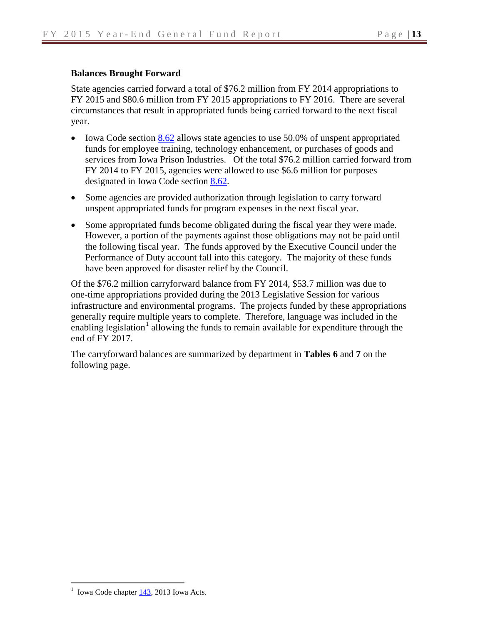#### **Balances Brought Forward**

State agencies carried forward a total of \$76.2 million from FY 2014 appropriations to FY 2015 and \$80.6 million from FY 2015 appropriations to FY 2016. There are several circumstances that result in appropriated funds being carried forward to the next fiscal year.

- Iowa Code section  $8.62$  allows state agencies to use 50.0% of unspent appropriated funds for employee training, technology enhancement, or purchases of goods and services from Iowa Prison Industries. Of the total \$76.2 million carried forward from FY 2014 to FY 2015, agencies were allowed to use \$6.6 million for purposes designated in Iowa Code section [8.62.](https://www.legis.iowa.gov/docs/ico/section/2013/8.62.pdf)
- Some agencies are provided authorization through legislation to carry forward unspent appropriated funds for program expenses in the next fiscal year.
- Some appropriated funds become obligated during the fiscal year they were made. However, a portion of the payments against those obligations may not be paid until the following fiscal year. The funds approved by the Executive Council under the Performance of Duty account fall into this category. The majority of these funds have been approved for disaster relief by the Council.

Of the \$76.2 million carryforward balance from FY 2014, \$53.7 million was due to one-time appropriations provided during the 2013 Legislative Session for various infrastructure and environmental programs. The projects funded by these appropriations generally require multiple years to complete. Therefore, language was included in the enabling legislation<sup>[1](#page-14-0)</sup> allowing the funds to remain available for expenditure through the end of FY 2017.

The carryforward balances are summarized by department in **Tables 6** and **7** on the following page.

<span id="page-14-0"></span><sup>&</sup>lt;sup>1</sup> Iowa Code chapter  $143$ , 2013 Iowa Acts.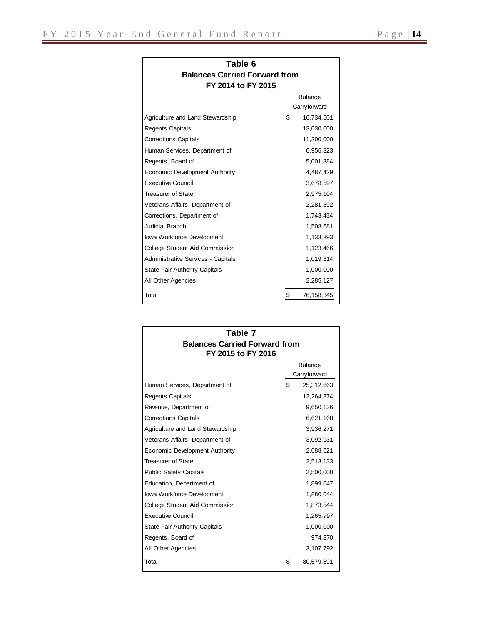| Table 6<br><b>Balances Carried Forward from</b> |                                |
|-------------------------------------------------|--------------------------------|
| FY 2014 to FY 2015                              |                                |
|                                                 | <b>Balance</b><br>Carryforward |
| Agriculture and Land Stewardship                | \$<br>16,734,501               |
| Regents Capitals                                | 13,030,000                     |
| <b>Corrections Capitals</b>                     | 11,200,000                     |
| Human Services, Department of                   | 6,956,323                      |
| Regents, Board of                               | 5,001,384                      |
| Economic Development Authority                  | 4,487,429                      |
| <b>Executive Council</b>                        | 3,678,597                      |
| <b>Treasurer of State</b>                       | 2,975,104                      |
| Veterans Affairs, Department of                 | 2,281,592                      |
| Corrections, Department of                      | 1,743,434                      |
| Judicial Branch                                 | 1,508,681                      |

Iowa Workforce Development 1,133,393 College Student Aid Commission 1,123,466 Administrative Services - Capitals 1,019,314 State Fair Authority Capitals 1,000,000 All Other Agencies 2,285,127 Total 5 76,158,345

| Table 7                              |    |                |  |  |  |  |  |
|--------------------------------------|----|----------------|--|--|--|--|--|
| <b>Balances Carried Forward from</b> |    |                |  |  |  |  |  |
| FY 2015 to FY 2016                   |    | <b>Balance</b> |  |  |  |  |  |
|                                      |    | Carryforward   |  |  |  |  |  |
| Human Services, Department of        | \$ | 25,312,663     |  |  |  |  |  |
| <b>Regents Capitals</b>              |    | 12,264,374     |  |  |  |  |  |
| Revenue, Department of               |    | 9,650,136      |  |  |  |  |  |
| <b>Corrections Capitals</b>          |    | 6,621,168      |  |  |  |  |  |
| Agriculture and Land Stewardship     |    | 3,936,271      |  |  |  |  |  |
| Veterans Affairs, Department of      |    | 3,092,931      |  |  |  |  |  |
| Economic Development Authority       |    | 2,688,621      |  |  |  |  |  |
| <b>Treasurer of State</b>            |    | 2,513,133      |  |  |  |  |  |
| <b>Public Safety Capitals</b>        |    | 2,500,000      |  |  |  |  |  |
| Education, Department of             |    | 1,899,047      |  |  |  |  |  |
| Iowa Workforce Development           |    | 1,880,044      |  |  |  |  |  |
| College Student Aid Commission       |    | 1,873,544      |  |  |  |  |  |
| Executive Council                    |    | 1,265,797      |  |  |  |  |  |
| <b>State Fair Authority Capitals</b> |    | 1,000,000      |  |  |  |  |  |
| Regents, Board of                    |    | 974,370        |  |  |  |  |  |
| All Other Agencies                   |    | 3,107,792      |  |  |  |  |  |
| Total                                | \$ | 80,579,891     |  |  |  |  |  |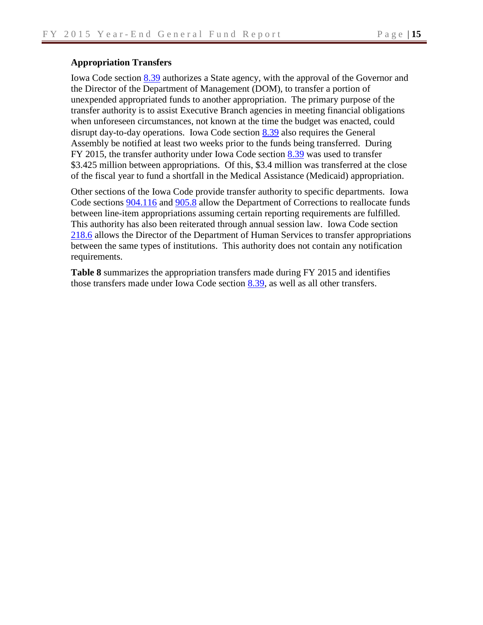#### **Appropriation Transfers**

Iowa Code section [8.39](https://www.legis.iowa.gov/DOCS/ACO/IC/LINC/Section.8.39.pdf) authorizes a State agency, with the approval of the Governor and the Director of the Department of Management (DOM), to transfer a portion of unexpended appropriated funds to another appropriation. The primary purpose of the transfer authority is to assist Executive Branch agencies in meeting financial obligations when unforeseen circumstances, not known at the time the budget was enacted, could disrupt day-to-day operations. Iowa Code section [8.39](https://www.legis.iowa.gov/docs/ico/section/2013/8.39.pdf) also requires the General Assembly be notified at least two weeks prior to the funds being transferred. During FY 2015, the transfer authority under Iowa Code section [8.39](https://www.legis.iowa.gov/docs/ico/section/2013/8.39.pdf) was used to transfer \$3.425 million between appropriations. Of this, \$3.4 million was transferred at the close of the fiscal year to fund a shortfall in the Medical Assistance (Medicaid) appropriation.

Other sections of the Iowa Code provide transfer authority to specific departments. Iowa Code sections [904.116](https://www.legis.iowa.gov/docs/ico/section/2013/904.I.116.pdf) and [905.8](https://www.legis.iowa.gov/docs/ico/section/2013/905.8.pdf) allow the Department of Corrections to reallocate funds between line-item appropriations assuming certain reporting requirements are fulfilled. This authority has also been reiterated through annual session law. Iowa Code section [218.6](https://www.legis.iowa.gov/docs/ico/section/2013/218.6.pdf) allows the Director of the Department of Human Services to transfer appropriations between the same types of institutions. This authority does not contain any notification requirements.

**Table 8** summarizes the appropriation transfers made during FY 2015 and identifies those transfers made under Iowa Code section  $8.39$ , as well as all other transfers.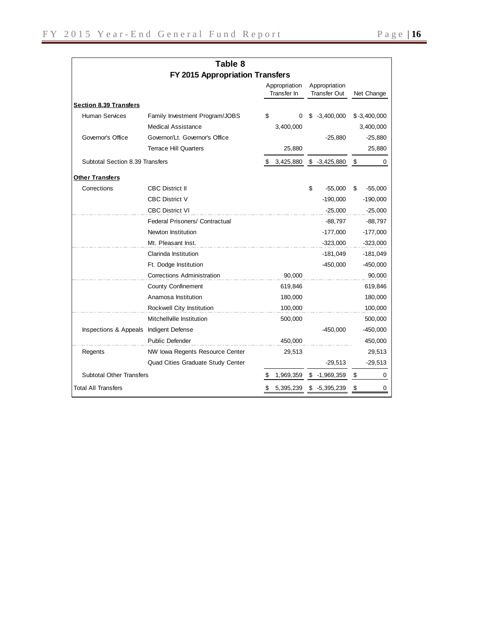| Table 8                                |                                       |    |                              |                |                                      |    |                |  |  |
|----------------------------------------|---------------------------------------|----|------------------------------|----------------|--------------------------------------|----|----------------|--|--|
|                                        | FY 2015 Appropriation Transfers       |    |                              |                |                                      |    |                |  |  |
|                                        |                                       |    | Appropriation<br>Transfer In |                | Appropriation<br><b>Transfer Out</b> |    | Net Change     |  |  |
| <b>Section 8.39 Transfers</b>          |                                       |    |                              |                |                                      |    |                |  |  |
| <b>Human Services</b>                  | Family Investment Program/JOBS        | \$ | 0                            | S              | $-3,400,000$                         |    | $$ -3,400,000$ |  |  |
|                                        | <b>Medical Assistance</b>             |    | 3,400,000                    |                |                                      |    | 3,400,000      |  |  |
| Governor's Office                      | Governor/Lt. Governor's Office        |    |                              |                | $-25,880$                            |    | $-25,880$      |  |  |
|                                        | <b>Terrace Hill Quarters</b>          |    | 25,880                       |                |                                      |    | 25,880         |  |  |
| Subtotal Section 8.39 Transfers        |                                       | S  | 3,425,880                    | $$ -3,425,880$ |                                      | \$ | 0              |  |  |
| <b>Other Transfers</b>                 |                                       |    |                              |                |                                      |    |                |  |  |
| Corrections                            | <b>CBC District II</b>                |    |                              | \$             | $-55,000$                            | \$ | $-55,000$      |  |  |
|                                        | <b>CBC District V</b>                 |    |                              |                | $-190,000$                           |    | $-190,000$     |  |  |
|                                        | <b>CBC District VI</b>                |    |                              |                | $-25,000$                            |    | $-25,000$      |  |  |
|                                        | <b>Federal Prisoners/ Contractual</b> |    |                              |                | $-88,797$                            |    | $-88,797$      |  |  |
|                                        | Newton Institution                    |    |                              |                | $-177,000$                           |    | $-177,000$     |  |  |
|                                        | Mt. Pleasant Inst.                    |    |                              |                | $-323,000$                           |    | $-323,000$     |  |  |
|                                        | Clarinda Institution                  |    |                              |                | $-181,049$                           |    | $-181,049$     |  |  |
|                                        | Ft. Dodge Institution                 |    |                              |                | $-450,000$                           |    | $-450,000$     |  |  |
|                                        | <b>Corrections Administration</b>     |    | 90,000                       |                |                                      |    | 90,000         |  |  |
|                                        | <b>County Confinement</b>             |    | 619,846                      |                |                                      |    | 619,846        |  |  |
|                                        | Anamosa Institution                   |    | 180,000                      |                |                                      |    | 180,000        |  |  |
|                                        | Rockwell City Institution             |    | 100,000                      |                |                                      |    | 100,000        |  |  |
|                                        | Mitchellville Institution             |    | 500,000                      |                |                                      |    | 500,000        |  |  |
| Inspections & Appeals Indigent Defense |                                       |    |                              |                | $-450,000$                           |    | $-450,000$     |  |  |
|                                        | <b>Public Defender</b>                |    | 450,000                      |                |                                      |    | 450,000        |  |  |
| Regents                                | NW Iowa Regents Resource Center       |    | 29,513                       |                |                                      |    | 29,513         |  |  |
|                                        | Quad Cities Graduate Study Center     |    |                              |                | $-29,513$                            |    | $-29,513$      |  |  |
| <b>Subtotal Other Transfers</b>        |                                       |    | 1,969,359                    | $$ -1,969,359$ |                                      | \$ | 0              |  |  |
| <b>Total All Transfers</b>             |                                       |    | 5,395,239                    | $$ -5,395,239$ |                                      | \$ | 0              |  |  |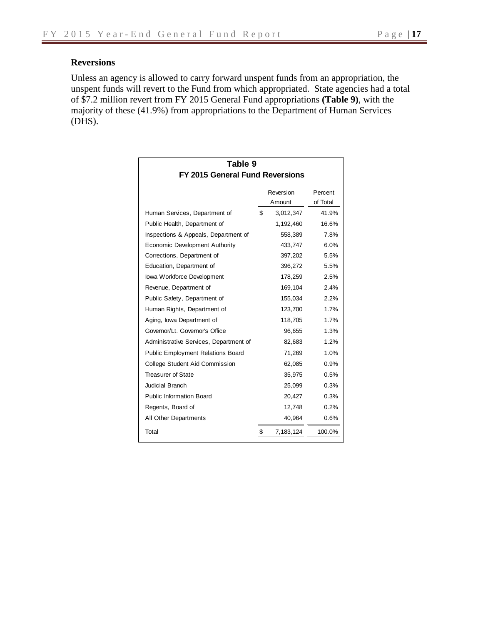### **Reversions**

Unless an agency is allowed to carry forward unspent funds from an appropriation, the unspent funds will revert to the Fund from which appropriated. State agencies had a total of \$7.2 million revert from FY 2015 General Fund appropriations **(Table 9)**, with the majority of these (41.9%) from appropriations to the Department of Human Services (DHS).

| Table 9                                  |    |                     |                     |  |  |  |  |  |
|------------------------------------------|----|---------------------|---------------------|--|--|--|--|--|
| <b>FY 2015 General Fund Reversions</b>   |    |                     |                     |  |  |  |  |  |
|                                          |    | Reversion<br>Amount | Percent<br>of Total |  |  |  |  |  |
| Human Services, Department of            | \$ | 3,012,347           | 41.9%               |  |  |  |  |  |
| Public Health, Department of             |    | 1,192,460           | 16.6%               |  |  |  |  |  |
| Inspections & Appeals, Department of     |    | 558,389             | 7.8%                |  |  |  |  |  |
| Economic Development Authority           |    | 433,747             | 6.0%                |  |  |  |  |  |
| Corrections, Department of               |    | 397,202             | 5.5%                |  |  |  |  |  |
| Education, Department of                 |    | 396,272             | 5.5%                |  |  |  |  |  |
| lowa Workforce Development               |    | 178,259             | 2.5%                |  |  |  |  |  |
| Revenue, Department of                   |    | 169,104             | 2.4%                |  |  |  |  |  |
| Public Safety, Department of             |    | 155,034             | 2.2%                |  |  |  |  |  |
| Human Rights, Department of              |    | 123,700             | 1.7%                |  |  |  |  |  |
| Aging, Iowa Department of                |    | 118,705             | 1.7%                |  |  |  |  |  |
| Governor/Lt. Governor's Office           |    | 96,655              | 1.3%                |  |  |  |  |  |
| Administrative Services, Department of   |    | 82,683              | 1.2%                |  |  |  |  |  |
| <b>Public Employment Relations Board</b> |    | 71,269              | 1.0%                |  |  |  |  |  |
| College Student Aid Commission           |    | 62,085              | 0.9%                |  |  |  |  |  |
| <b>Treasurer of State</b>                |    | 35,975              | 0.5%                |  |  |  |  |  |
| <b>Judicial Branch</b>                   |    | 25,099              | 0.3%                |  |  |  |  |  |
| <b>Public Information Board</b>          |    | 20,427              | 0.3%                |  |  |  |  |  |
| Regents, Board of                        |    | 12,748              | 0.2%                |  |  |  |  |  |
| All Other Departments                    |    | 40,964              | 0.6%                |  |  |  |  |  |
| Total                                    | \$ | 7,183,124           | 100.0%              |  |  |  |  |  |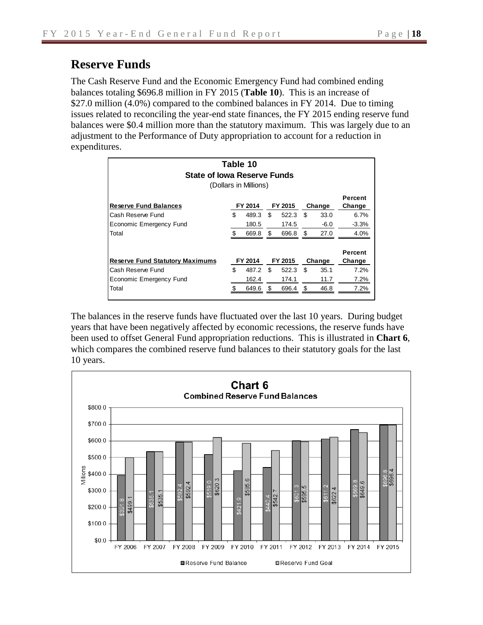## **Reserve Funds**

The Cash Reserve Fund and the Economic Emergency Fund had combined ending balances totaling \$696.8 million in FY 2015 (**Table 10**). This is an increase of \$27.0 million (4.0%) compared to the combined balances in FY 2014. Due to timing issues related to reconciling the year-end state finances, the FY 2015 ending reserve fund balances were \$0.4 million more than the statutory maximum. This was largely due to an adjustment to the Performance of Duty appropriation to account for a reduction in expenditures.

| Table 10<br>State of Iowa Reserve Funds<br>(Dollars in Millions) |         |         |    |         |     |        |                          |  |  |  |
|------------------------------------------------------------------|---------|---------|----|---------|-----|--------|--------------------------|--|--|--|
| <b>Reserve Fund Balances</b>                                     |         | FY 2014 |    | FY 2015 |     | Change | Percent<br>Change        |  |  |  |
| Cash Reserve Fund                                                | \$      | 489.3   | \$ | 522.3   | \$  | 33.0   | 6.7%                     |  |  |  |
| Economic Emergency Fund                                          |         | 180.5   |    | 174.5   |     | $-6.0$ | $-3.3%$                  |  |  |  |
| Total                                                            |         | 669.8   | \$ | 696.8   | \$. | 27.0   | 4.0%                     |  |  |  |
| <b>Reserve Fund Statutory Maximums</b>                           | FY 2014 |         |    | FY 2015 |     | Change | <b>Percent</b><br>Change |  |  |  |
| Cash Reserve Fund                                                | \$      | 487.2   | \$ | 522.3   | \$  | 35.1   | 7.2%                     |  |  |  |
| Economic Emergency Fund                                          |         | 162.4   |    | 174.1   |     | 11.7   | 7.2%                     |  |  |  |
| Total                                                            | \$      | 649.6   | \$ | 696.4   | \$  | 46.8   | 7.2%                     |  |  |  |

The balances in the reserve funds have fluctuated over the last 10 years. During budget years that have been negatively affected by economic recessions, the reserve funds have been used to offset General Fund appropriation reductions. This is illustrated in **Chart 6**, which compares the combined reserve fund balances to their statutory goals for the last 10 years.

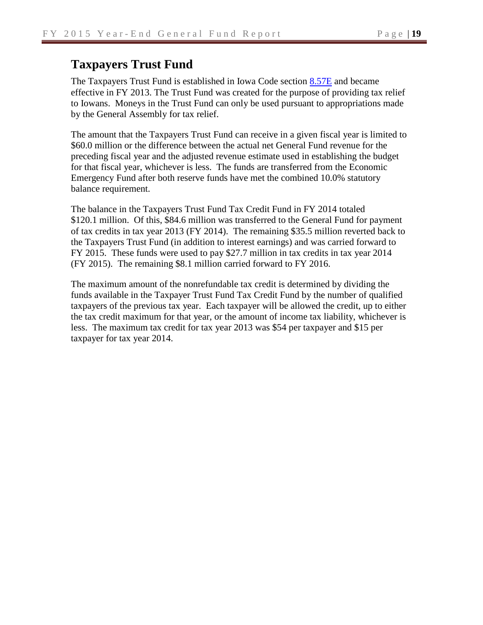### **Taxpayers Trust Fund**

The Taxpayers Trust Fund is established in Iowa Code section [8.57E](https://www.legis.iowa.gov/docs/ico/section/2013/8.57E.pdf) and became effective in FY 2013. The Trust Fund was created for the purpose of providing tax relief to Iowans. Moneys in the Trust Fund can only be used pursuant to appropriations made by the General Assembly for tax relief.

The amount that the Taxpayers Trust Fund can receive in a given fiscal year is limited to \$60.0 million or the difference between the actual net General Fund revenue for the preceding fiscal year and the adjusted revenue estimate used in establishing the budget for that fiscal year, whichever is less. The funds are transferred from the Economic Emergency Fund after both reserve funds have met the combined 10.0% statutory balance requirement.

The balance in the Taxpayers Trust Fund Tax Credit Fund in FY 2014 totaled \$120.1 million. Of this, \$84.6 million was transferred to the General Fund for payment of tax credits in tax year 2013 (FY 2014). The remaining \$35.5 million reverted back to the Taxpayers Trust Fund (in addition to interest earnings) and was carried forward to FY 2015. These funds were used to pay \$27.7 million in tax credits in tax year 2014 (FY 2015). The remaining \$8.1 million carried forward to FY 2016.

The maximum amount of the nonrefundable tax credit is determined by dividing the funds available in the Taxpayer Trust Fund Tax Credit Fund by the number of qualified taxpayers of the previous tax year. Each taxpayer will be allowed the credit, up to either the tax credit maximum for that year, or the amount of income tax liability, whichever is less. The maximum tax credit for tax year 2013 was \$54 per taxpayer and \$15 per taxpayer for tax year 2014.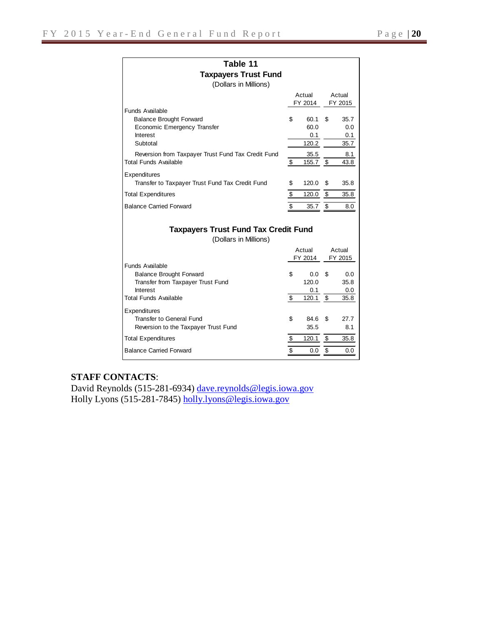| Table 11                                           |    |                 |    |         |  |  |  |  |  |  |
|----------------------------------------------------|----|-----------------|----|---------|--|--|--|--|--|--|
| <b>Taxpayers Trust Fund</b>                        |    |                 |    |         |  |  |  |  |  |  |
| (Dollars in Millions)                              |    |                 |    |         |  |  |  |  |  |  |
|                                                    |    | Actual          |    | Actual  |  |  |  |  |  |  |
|                                                    |    | FY 2014         |    | FY 2015 |  |  |  |  |  |  |
| Funds Available                                    |    |                 |    |         |  |  |  |  |  |  |
| <b>Balance Brought Forward</b>                     | \$ | 60.1            | \$ | 35.7    |  |  |  |  |  |  |
| Economic Emergency Transfer                        |    | 60.0            |    | 0.0     |  |  |  |  |  |  |
| Interest                                           |    | 0.1             |    | 0.1     |  |  |  |  |  |  |
| Subtotal                                           |    | 120.2           |    | 35.7    |  |  |  |  |  |  |
| Reversion from Taxpayer Trust Fund Tax Credit Fund |    | 35.5            |    | 8.1     |  |  |  |  |  |  |
| <b>Total Funds Available</b>                       | \$ | 155.7 \$        |    | 43.8    |  |  |  |  |  |  |
| Expenditures                                       |    |                 |    |         |  |  |  |  |  |  |
| Transfer to Taxpayer Trust Fund Tax Credit Fund    | \$ | 120.0           | \$ | 35.8    |  |  |  |  |  |  |
| <b>Total Expenditures</b>                          | \$ | $120.0 \quad $$ |    | 35.8    |  |  |  |  |  |  |
| <b>Balance Carried Forward</b>                     | \$ | $35.7$ \$       |    | 8.0     |  |  |  |  |  |  |
|                                                    |    |                 |    |         |  |  |  |  |  |  |
| <b>Taxpayers Trust Fund Tax Credit Fund</b>        |    |                 |    |         |  |  |  |  |  |  |
| (Dollars in Millions)                              |    |                 |    |         |  |  |  |  |  |  |
|                                                    |    | Actual          |    | Actual  |  |  |  |  |  |  |
|                                                    |    | FY 2014         |    | FY 2015 |  |  |  |  |  |  |

Balance Brought Forward <br>
Transfer from Taxpayer Trust Fund 120.0 35.8

Interest 0.0 Total Funds Available  $\overline{\text{S}}$  120.1  $\overline{\text{S}}$  35.8

Transfer to General Fund  $$84.6 $7.7$ Reversion to the Taxpayer Trust Fund 35.5 8.1 Total Expenditures  $\overline{\$}$  120.1  $\overline{\$}$  35.8 Balance Carried Forward **\$ 0.0** \$ 0.0

#### **STAFF CONTACTS**:

Funds Available

Expenditures

David Reynolds (515-281-6934) [dave.reynolds@legis.iowa.gov](mailto:dave.reynolds@legis.iowa.gov) Holly Lyons (515-281-7845) [holly.lyons@legis.iowa.gov](mailto:holly.lyons@legis.iowa.gov)

Transfer from Taxpayer Trust Fund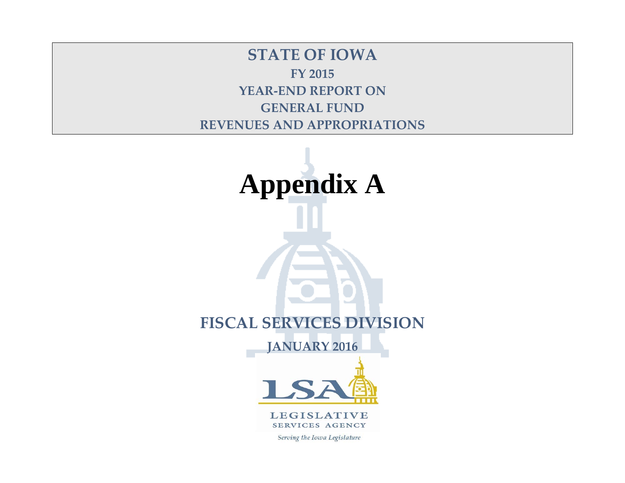**STATE OF IOWA FY 2015 YEAR-END REPORT ON GENERAL FUND REVENUES AND APPROPRIATIONS**



**LEGISLATIVE** SERVICES AGENCY

Serving the Iowa Legislature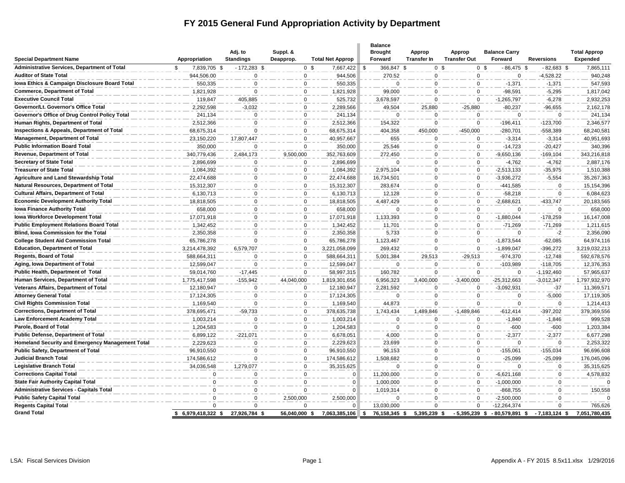### **FY 2015 General Fund Appropriation Activity by Department**

| <b>Special Department Name</b>                                                     | Appropriation         | Adj. to<br><b>Standings</b> | Suppl. &<br>Deapprop. | <b>Total Net Approp</b> | <b>Balance</b><br><b>Brought</b><br>Forward | <b>Approp</b><br><b>Transfer In</b> | <b>Approp</b><br><b>Transfer Out</b> | <b>Balance Carry</b><br>Forward | <b>Reversions</b>         | <b>Total Approp</b><br>Expended |
|------------------------------------------------------------------------------------|-----------------------|-----------------------------|-----------------------|-------------------------|---------------------------------------------|-------------------------------------|--------------------------------------|---------------------------------|---------------------------|---------------------------------|
| Administrative Services, Department of Total                                       | 7,839,705 \$<br>\$    | $-172,283$ \$               | 0 <sup>5</sup>        | 7,667,422               | 366,847 \$<br>\$                            | 0 <sup>5</sup>                      |                                      | 0 <sup>5</sup><br>$-86,475$ \$  | $-82,683$ \$              | 7,865,111                       |
| <b>Auditor of State Total</b>                                                      | 944,506.00            | $\mathsf 0$                 | $\mathbf 0$           | 944,506                 | 270.52                                      | $\Omega$                            | $\mathsf 0$                          | $\mathbf 0$                     | $-4,528.22$               | 940,248                         |
| Iowa Ethics & Campaign Disclosure Board Total                                      | 550,335               | $\mathbf 0$                 | $\mathbf{0}$          | 550,335                 | $\Omega$                                    | $\Omega$                            | $\Omega$                             | $-1,371$                        | $-1,371$                  | 547,593                         |
| <b>Commerce, Department of Total</b>                                               | 1,821,928             | $\mathbf 0$                 | $\mathbf 0$           | 1,821,928               | 99,000                                      | $\Omega$                            | $\mathbf 0$                          | $-98,591$                       | $-5,295$                  | 1,817,042                       |
| <b>Executive Council Total</b>                                                     | 119,847               | 405,885                     | 0                     | 525,732                 | 3,678,597                                   | $\Omega$                            | $\mathbf 0$                          | $-1,265,797$                    | $-6,278$                  | 2,932,253                       |
| Governor/Lt. Governor's Office Total                                               | 2,292,598             | $-3,032$                    | $\mathbf 0$           | 2,289,566               | 49,504                                      | 25,880                              | $-25,880$                            | $-80,237$                       | $-96,655$                 | 2,162,178                       |
| Governor's Office of Drug Control Policy Total                                     | 241,134               | $\Omega$                    | 0                     | 241,134                 | $\mathbf 0$                                 | $\Omega$                            | 0                                    | $\Omega$                        | $\Omega$                  | 241,134                         |
| Human Rights, Department of Total                                                  | 2,512,366             | $\mathbf 0$                 | $\mathbf 0$           | 2,512,366               | 154,322                                     | $\Omega$                            | 0                                    | $-196,411$                      | $-123,700$                | 2,346,577                       |
| Inspections & Appeals, Department of Total                                         | 68,675,314            | $\mathbf 0$                 | $\mathbf 0$           | 68,675,314              | 404,358                                     | 450,000                             | $-450,000$                           | -280,701                        | -558,389                  | 68,240,581                      |
| <b>Management, Department of Total</b>                                             | 23,150,220            | 17,807,447                  | $\mathbf 0$           | 40,957,667              | 655                                         | $\Omega$                            | $\mathbf 0$                          | $-3,314$                        | $-3,314$                  | 40,951,693                      |
| <b>Public Information Board Total</b>                                              | 350,000               | $\Omega$                    | $\Omega$              | 350,000                 | 25,546                                      | $\Omega$                            | $\mathbf 0$                          | $-14,723$                       | $-20,427$                 | 340,396                         |
| Revenue, Department of Total                                                       | 340,779,436           | 2,484,173                   | 9,500,000             | 352,763,609             | 272,450                                     | $\Omega$                            | 0                                    | $-9,650,136$                    | $-169, 104$               | 343,216,818                     |
| <b>Secretary of State Total</b>                                                    | 2,896,699             | $\Omega$                    | $\mathbf{0}$          | 2,896,699               | $\Omega$                                    | $\Omega$                            | $\mathbf 0$                          | $-4,762$                        | $-4,762$                  | 2,887,176                       |
| <b>Treasurer of State Total</b>                                                    | 1,084,392             | 0                           | $\mathbf 0$           | 1,084,392               | 2,975,104                                   | $\Omega$                            | 0                                    | $-2,513,133$                    | $-35,975$                 | 1,510,388                       |
| <b>Agriculture and Land Stewardship Total</b>                                      | 22,474,688            | $\mathbf 0$                 | $\mathbf 0$           | 22,474,688              | 16,734,501                                  | $\Omega$                            | 0                                    | $-3,936,272$                    | $-5,554$                  | 35,267,363                      |
| Natural Resources, Department of Total                                             | 15,312,307            | 0                           | $\mathbf 0$           | 15,312,307              | 283,674                                     | $\mathbf 0$                         | 0                                    | -441,585                        | 0                         | 15,154,396                      |
| <b>Cultural Affairs, Department of Total</b>                                       | 6,130,713             | $\mathbf 0$                 | $\mathbf 0$           | 6,130,713               | 12,128                                      | $\Omega$                            | $\mathbf 0$                          | $-58,218$                       | $\mathbf 0$               | 6,084,623                       |
| <b>Economic Development Authority Total</b><br><b>Iowa Finance Authority Total</b> | 18,818,505<br>658,000 | 0<br>0                      | 0<br>$\mathbf 0$      | 18,818,505<br>658,000   | 4,487,429<br>$\Omega$                       | $\Omega$<br>$\mathbf 0$             | 0<br>$\mathbf 0$                     | $-2,688,621$<br>$\Omega$        | $-433,747$<br>$\mathbf 0$ | 20,183,565<br>658,000           |
| lowa Workforce Development Total                                                   | 17,071,918            | $\mathbf 0$                 | $\mathbf 0$           | 17,071,918              | 1,133,393                                   | $\mathbf 0$                         | 0                                    | $-1,880,044$                    | $-178,259$                | 16,147,008                      |
| <b>Public Employment Relations Board Total</b>                                     | 1,342,452             | $\mathbf 0$                 | $\mathbf 0$           | 1,342,452               | 11,701                                      | $\mathbf 0$                         | 0                                    | $-71,269$                       | $-71,269$                 | 1,211,615                       |
| Blind, Iowa Commission for the Total                                               | 2,350,358             | $\mathbf 0$                 | 0                     | 2,350,358               | 5,733                                       | $\Omega$                            | 0                                    | $\Omega$                        | $-2$                      | 2,356,090                       |
| <b>College Student Aid Commission Total</b>                                        | 65,786,278            | $\mathbf 0$                 | $\mathbf 0$           | 65,786,278              | 1,123,467                                   | $\mathbf 0$                         | 0                                    | $-1,873,544$                    | $-62,085$                 | 64,974,116                      |
| <b>Education, Department of Total</b>                                              | 3,214,478,392         | 6,579,707                   | $\mathbf 0$           | 3,221,058,099           | 269,432                                     | $\Omega$                            | 0                                    | $-1,899,047$                    | $-396,272$                | 3,219,032,213                   |
| <b>Regents, Board of Total</b>                                                     | 588,664,311           | $\Omega$                    | $\mathbf 0$           | 588,664,311             | 5,001,384                                   | 29,513                              | $-29,513$                            | $-974,370$                      | $-12,748$                 | 592,678,576                     |
| Aging, Iowa Department of Total                                                    | 12,599,047            | $\Omega$                    | $\mathbf 0$           | 12,599,047              | $\mathbf 0$                                 | $\Omega$                            | $\mathbf 0$                          | -103,989                        | $-118,705$                | 12,376,353                      |
| Public Health, Department of Total                                                 | 59,014,760            | $-17,445$                   | $\Omega$              | 58,997,315              | 160,782                                     | $\Omega$                            | $\Omega$                             | $\mathbf 0$                     | $-1,192,460$              | 57,965,637                      |
| Human Services, Department of Total                                                | 1,775,417,598         | $-155,942$                  | 44,040,000            | 1,819,301,656           | 6,956,323                                   | 3,400,000                           | $-3,400,000$                         | $-25,312,663$                   | $-3,012,347$              | 1,797,932,970                   |
| Veterans Affairs, Department of Total                                              | 12,180,947            | 0                           | 0                     | 12,180,947              | 2,281,592                                   | $\Omega$                            | $\mathbf 0$                          | $-3,092,931$                    | $-37$                     | 11,369,571                      |
| <b>Attorney General Total</b>                                                      | 17,124,305            | 0                           | 0                     | 17,124,305              | 0                                           | $\Omega$                            | $\Omega$                             | $\Omega$                        | $-5,000$                  | 17,119,305                      |
| <b>Civil Rights Commission Total</b>                                               | 1,169,540             | $\mathbf 0$                 | $\mathbf 0$           | 1,169,540               | 44,873                                      | $\Omega$                            | $\Omega$                             | $\mathbf 0$                     | $\mathbf 0$               | 1,214,413                       |
| <b>Corrections, Department of Total</b>                                            | 378,695,471           | $-59,733$                   | $\mathbf 0$           | 378,635,738             | 1,743,434                                   | 1,489,846                           | $-1,489,846$                         | $-612,414$                      | $-397,202$                | 379,369,556                     |
| <b>Law Enforcement Academy Total</b>                                               | 1,003,214             | $\mathbf 0$                 | $\mathbf 0$           | 1,003,214               | $\mathbf 0$                                 | $\Omega$                            | $\mathbf 0$                          | $-1,840$                        | $-1,846$                  | 999,528                         |
| Parole, Board of Total                                                             | 1,204,583             | $\Omega$                    | $\mathbf 0$           | 1,204,583               | $\Omega$                                    | $\Omega$                            | 0                                    | $-600$                          | $-600$                    | 1,203,384                       |
| <b>Public Defense, Department of Total</b>                                         | 6,899,122             | $-221,071$                  | $\mathbf 0$           | 6,678,051               | 4,000                                       | $\Omega$                            | 0                                    | $-2,377$                        | $-2,377$                  | 6,677,298                       |
| Homeland Security and Emergency Management Total                                   | 2,229,623             | $\Omega$                    | $\mathbf{0}$          | 2.229.623               | 23,699                                      | $\Omega$                            | $\mathbf 0$                          | $\Omega$                        | $\Omega$                  | 2,253,322                       |
| <b>Public Safety, Department of Total</b>                                          | 96,910,550            | $\mathbf 0$                 | 0                     | 96,910,550              | 96,153                                      | $\Omega$                            | 0                                    | $-155,061$                      | $-155,034$                | 96,696,608                      |
| <b>Judicial Branch Total</b>                                                       | 174,586,612           | $\mathbf 0$                 | $\mathbf{0}$          | 174,586,612             | 1,508,682                                   | $\Omega$                            | $\mathbf 0$                          | $-25,099$                       | $-25,099$                 | 176,045,096                     |
| <b>Legislative Branch Total</b>                                                    | 34,036,548            | 1,279,077                   | $\mathbf 0$           | 35,315,625              | $\mathbf 0$                                 | $\Omega$                            | 0                                    | $\mathbf 0$                     | 0                         | 35,315,625                      |
| <b>Corrections Capital Total</b>                                                   | $\Omega$              | $\mathbf 0$                 | $\mathbf{0}$          | $\Omega$                | 11,200,000                                  | $\Omega$                            | $\mathbf 0$                          | $-6,621,168$                    | 0                         | 4,578,832                       |
| <b>State Fair Authority Capital Total</b>                                          | $\Omega$              | 0                           | $\mathbf 0$           | $\mathbf 0$             | 1,000,000                                   | $\Omega$                            | 0                                    | $-1,000,000$                    | 0                         |                                 |
| <b>Administrative Services - Capitals Total</b>                                    | $\Omega$              | $\mathbf 0$                 | $\Omega$              | $\Omega$                | 1,019,314                                   | $\Omega$                            | $\mathbf 0$                          | $-868,755$                      | 0                         | 150,558                         |
| <b>Public Safety Capital Total</b>                                                 | $\Omega$              | $\mathbf 0$                 | 2,500,000             | 2,500,000               | $\mathbf 0$                                 | $\Omega$                            | $\mathbf 0$                          | $-2,500,000$                    | $\mathbf 0$               |                                 |
| <b>Regents Capital Total</b>                                                       | $\Omega$              | $\mathbf 0$                 | $\Omega$              | $\Omega$                | 13,030,000                                  | $\Omega$                            | $\Omega$                             | $-12,264,374$                   | 0                         | 765,626                         |
| <b>Grand Total</b>                                                                 | 6,979,418,322 \$      | 27,926,784 \$               | 56,040,000 \$         | 7,063,385,106           | 76,158,345 \$<br>\$                         | 5,395,239 \$                        | $-5,395,239$ \$                      | $-80,579,891$ \$                | $-7,183,124$ \$           | 7,051,780,435                   |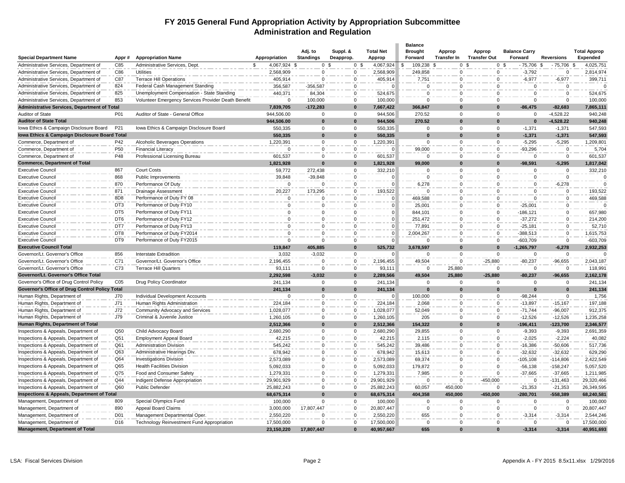#### **FY 2015 General Fund Appropriation Activity by Appropriation Subcommittee Administration and Regulation**

| <b>Special Department Name</b>                      | Appr#           | <b>Appropriation Name</b>                           | Appropriation |              | Adj. to<br><b>Standings</b> | Suppl. &<br>Deapprop. |                | <b>Total Net</b><br>Approp | <b>Balance</b><br><b>Brought</b><br>Forward | Approp<br>Transfer In | Approp<br><b>Transfer Out</b> | <b>Balance Carry</b><br>Forward | <b>Reversions</b>  | <b>Total Approp</b><br>Expended |
|-----------------------------------------------------|-----------------|-----------------------------------------------------|---------------|--------------|-----------------------------|-----------------------|----------------|----------------------------|---------------------------------------------|-----------------------|-------------------------------|---------------------------------|--------------------|---------------------------------|
| Administrative Services, Department of              | C85             | Administrative Services, Dept.                      |               | 4,067,924 \$ | 0 <sup>5</sup>              |                       | 0 <sup>5</sup> | 4,067,924                  | 109,238 \$<br>- \$                          |                       | 0 <sup>5</sup>                | $-75,706$<br>0 <sup>5</sup>     | $-75,706$ \$<br>\$ | 4,025,751                       |
| Administrative Services, Department of              | C86             | <b>Utilities</b>                                    |               | 2,568,909    | $\Omega$                    |                       | 0              | 2,568,909                  | 249,858                                     | $\Omega$              | 0                             | $-3,792$                        | $\Omega$           | 2,814,974                       |
| Administrative Services, Department of              | C87             | <b>Terrace Hill Operations</b>                      |               | 405,914      | $\Omega$                    |                       | $\Omega$       | 405,914                    | 7,751                                       | $\mathbf 0$           | $\Omega$                      | $-6,977$                        | $-6,977$           | 399,711                         |
| Administrative Services, Department of              | 824             | Federal Cash Management Standing                    |               | 356,587      | $-356,587$                  |                       | $\Omega$       | $\Omega$                   | $\Omega$                                    | $\mathbf 0$           | $\mathbf 0$                   | $\mathbf 0$                     | $\mathbf 0$        |                                 |
| Administrative Services, Department of              | 825             | Unemployment Compensation - State Standing          |               | 440,371      | 84,304                      |                       | $\Omega$       | 524,675                    | $\Omega$                                    | $\Omega$              | $\Omega$                      | $\Omega$                        | $\Omega$           | 524,675                         |
| Administrative Services, Department of              | 853             | Volunteer Emergency Services Provider Death Benefit |               | $\Omega$     | 100,000                     |                       | $\Omega$       | 100,000                    | $\Omega$                                    | $\Omega$              | $\Omega$                      | $\Omega$                        | $\Omega$           | 100,000                         |
| <b>Administrative Services, Department of Total</b> |                 |                                                     |               | 7,839,705    | $-172,283$                  |                       | <sup>0</sup>   | 7,667,422                  | 366,847                                     | $\Omega$              | $\Omega$                      | $-86,475$                       | $-82,683$          | 7,865,111                       |
| Auditor of State                                    | P01             | Auditor of State - General Office                   |               | 944,506.00   | $\mathbf 0$                 |                       | $\mathbf 0$    | 944,506                    | 270.52                                      | $\mathbf 0$           | $\Omega$                      | $\Omega$                        | $-4,528.22$        | 940,248                         |
| <b>Auditor of State Total</b>                       |                 |                                                     |               | 944,506.00   | $\bf{0}$                    |                       | $\mathbf{0}$   | 944,506                    | 270.52                                      | $\mathbf{0}$          | $\Omega$                      | $\bf{0}$                        | $-4,528.22$        | 940,248                         |
| Iowa Ethics & Campaign Disclosure Board             | P21             | Iowa Ethics & Campaign Disclosure Board             |               | 550,335      | $\mathbf 0$                 |                       | $\Omega$       | 550,335                    | $\mathbf 0$                                 | $\mathsf 0$           | $\mathbf 0$                   | $-1,371$                        | $-1,371$           | 547,593                         |
| lowa Ethics & Campaign Disclosure Board Total       |                 |                                                     |               | 550,335      | $\bf{0}$                    |                       | $\mathbf{0}$   | 550,335                    | $\bf{0}$                                    | $\bf{0}$              | $\bf{0}$                      | $-1,371$                        | $-1,371$           | 547,593                         |
| Commerce, Department of                             | P42             | Alcoholic Beverages Operations                      |               | 1,220,391    | $\Omega$                    |                       | $\mathbf 0$    | 1,220,391                  | $\mathbf 0$                                 | $\mathbf 0$           | 0                             | $-5,295$                        | $-5,295$           | 1,209,801                       |
| Commerce, Department of                             | P <sub>50</sub> | <b>Financial Literacy</b>                           |               | $\Omega$     | $\Omega$                    |                       | $\mathbf 0$    |                            | 99,000                                      | $\mathbf 0$           | $\mathbf 0$                   | $-93,296$                       | $\Omega$           | 5,704                           |
| Commerce, Department of                             | P48             | Professional Licensing Bureau                       |               | 601,537      | $\Omega$                    |                       | $\Omega$       | 601,537                    | $\Omega$                                    | $\Omega$              | $\Omega$                      | $\Omega$                        | $\Omega$           | 601,537                         |
| <b>Commerce, Department of Total</b>                |                 |                                                     |               | 1,821,928    | $\Omega$                    |                       | $\mathbf{0}$   | 1,821,928                  | 99,000                                      | $\bf{0}$              | $\bf{0}$                      | $-98,591$                       | $-5,295$           | 1,817,042                       |
| <b>Executive Council</b>                            | 867             | Court Costs                                         |               | 59,772       | 272,438                     |                       | 0              | 332,210                    | $\mathbf 0$                                 | $\mathbf 0$           | $\mathbf 0$                   | $\Omega$                        | $\Omega$           | 332,210                         |
| <b>Executive Council</b>                            | 868             | Public Improvements                                 |               | 39,848       | $-39.848$                   |                       | $\Omega$       | $\epsilon$                 | $\Omega$                                    | $\mathbf 0$           | $\Omega$                      | $\Omega$                        | $\Omega$           | 0                               |
| <b>Executive Council</b>                            | 870             | Performance Of Duty                                 |               | $\mathbf 0$  | $\Omega$                    |                       | $\Omega$       | n                          | 6,278                                       | $\mathbf 0$           | $\Omega$                      | $\Omega$                        | $-6,278$           | $\Omega$                        |
| <b>Executive Council</b>                            | 871             | Drainage Assessment                                 |               | 20,227       | 173,295                     |                       | 0              | 193,522                    | $\Omega$                                    | $\mathbf 0$           | $\mathbf 0$                   | $\mathbf 0$                     | 0                  | 193,522                         |
| <b>Executive Council</b>                            | 8D <sub>8</sub> | Performance of Duty FY 08                           |               | 0            | $\Omega$                    |                       | $\Omega$       | $\Omega$                   | 469,588                                     | $\mathbf 0$           | $\mathbf 0$                   | $\Omega$                        | $\Omega$           | 469,588                         |
| <b>Executive Council</b>                            | DT <sub>3</sub> | Performance of Duty FY10                            |               | $\mathbf 0$  | n                           |                       | $\Omega$       |                            | 25,001                                      | $\mathbf 0$           | $\Omega$                      | $-25,001$                       | $\mathbf 0$        | $\Omega$                        |
| <b>Executive Council</b>                            | DT <sub>5</sub> | Performance of Duty FY11                            |               | $\mathbf 0$  |                             |                       | $\Omega$       |                            | 844,101                                     | $\mathbf 0$           | $\mathbf 0$                   | $-186, 121$                     | $\mathbf 0$        | 657,980                         |
| <b>Executive Council</b>                            | DT <sub>6</sub> | Performance of Duty FY12                            |               | $\mathbf 0$  | $\Omega$                    |                       | $\Omega$       | $\Omega$                   | 251,472                                     | $\Omega$              | $\mathbf 0$                   | $-37,272$                       | $\mathbf 0$        | 214,200                         |
| <b>Executive Council</b>                            | DT7             | Performance of Duty FY13                            |               | 0            | $\Omega$                    |                       | 0              | 0                          | 77,891                                      | $\Omega$              | $\mathbf 0$                   | $-25,181$                       | $\Omega$           | 52,710                          |
| <b>Executive Council</b>                            | DT8             | Performance of Duty FY2014                          |               | $\mathbf 0$  | $\Omega$                    |                       | $\Omega$       |                            | 2,004,267                                   | $\mathbf 0$           | $\mathbf 0$                   | $-388,513$                      | $\mathbf 0$        | 1,615,753                       |
| <b>Executive Council</b>                            | DT <sub>9</sub> | Performance of Duty FY2015                          |               | $\Omega$     | $\Omega$                    |                       | $\Omega$       | $\sqrt{ }$                 | $\Omega$                                    | $\Omega$              | $\Omega$                      | $-603,709$                      | $\Omega$           | $-603,709$                      |
| <b>Executive Council Total</b>                      |                 |                                                     |               | 119,847      | 405,885                     |                       | $\Omega$       | 525,732                    | 3,678,597                                   | $\Omega$              | $\bf{0}$                      | $-1,265,797$                    | $-6,278$           | 2,932,253                       |
| Governor/Lt. Governor's Office                      | 856             | <b>Interstate Extradition</b>                       |               | 3,032        | $-3,032$                    |                       | $\mathbf 0$    | $\Omega$                   | $\mathbf{0}$                                | $\mathbf 0$           | 0                             | $\Omega$                        | $\Omega$           |                                 |
| Governor/Lt. Governor's Office                      | C71             | Governor/Lt. Governor's Office                      |               | 2,196,455    | $\Omega$                    |                       | $\mathbf 0$    | 2,196,455                  | 49,504                                      | $\Omega$              | $-25,880$                     | $-80,237$                       | $-96,655$          | 2,043,187                       |
| Governor/Lt. Governor's Office                      | C73             | <b>Terrace Hill Quarters</b>                        |               | 93,111       | $\Omega$                    |                       | $\Omega$       | 93,111                     | $\Omega$                                    | 25,880                | $^{\circ}$                    | $\overline{0}$                  | $\mathbf 0$        | 118,991                         |
| Governor/Lt. Governor's Office Total                |                 |                                                     |               | 2,292,598    | $-3,032$                    |                       | $\bf{0}$       | 2,289,566                  | 49,504                                      | 25,880                | $-25,880$                     | $-80,237$                       | $-96,655$          | 2,162,178                       |
| Governor's Office of Drug Control Policy            | C <sub>05</sub> | Drug Policy Coordinator                             |               | 241,134      | $\mathbf 0$                 |                       | $\mathbf 0$    | 241,134                    | $\mathbf 0$                                 | $\mathbf 0$           | $\mathbf 0$                   | $\mathbf 0$                     | $\mathbf 0$        | 241,134                         |
| Governor's Office of Drug Control Policy Total      |                 |                                                     |               | 241,134      | $\bf{0}$                    |                       | $\bf{0}$       | 241,134                    | $\bf{0}$                                    | $\bf{0}$              | $\bf{0}$                      | $\bf{0}$                        | $\bf{0}$           | 241,134                         |
| Human Rights, Department of                         | J70             | Individual Development Accounts                     |               | $\Omega$     | $\Omega$                    |                       | $\mathbf 0$    | O                          | 100,000                                     | $\mathbf 0$           | 0                             | $-98,244$                       | $\mathbf 0$        | 1,756                           |
| Human Rights, Department of                         | J71             | Human Rights Administration                         |               | 224,184      | $\Omega$                    |                       | $\Omega$       | 224,184                    | 2,068                                       | $\mathbf 0$           | $\Omega$                      | $-13,897$                       | $-15,167$          | 197,188                         |
| Human Rights, Department of                         | J72             | Community Advocacy and Services                     |               | 1,028,077    | $\Omega$                    |                       | 0              | 1,028,077                  | 52,049                                      | $\Omega$              | $\mathbf 0$                   | $-71,744$                       | $-96,007$          | 912,375                         |
| Human Rights, Department of                         | J79             | Criminal & Juvenile Justice                         |               | 1,260,105    | $\Omega$                    |                       | $\mathbf 0$    | 1,260,105                  | 205                                         | $\mathbf 0$           | $\mathbf 0$                   | $-12,526$                       | $-12,526$          | 1,235,258                       |
| Human Rights, Department of Total                   |                 |                                                     |               | 2,512,366    | $\bf{0}$                    |                       | $\bf{0}$       | 2,512,366                  | 154,322                                     | $\bf{0}$              | $\bf{0}$                      | -196,411                        | $-123,700$         | 2,346,577                       |
| Inspections & Appeals, Department of                | Q <sub>50</sub> | Child Advocacy Board                                |               | 2,680,290    | $\mathbf 0$                 |                       | $\mathbf 0$    | 2,680,290                  | 29,855                                      | $\mathbf 0$           | $\mathbf 0$                   | $-9,393$                        | $-9,393$           | 2,691,359                       |
| Inspections & Appeals, Department of                | Q51             | Employment Appeal Board                             |               | 42,215       | $\Omega$                    |                       | $\mathbf 0$    | 42,215                     | 2,115                                       | $\Omega$              | 0                             | $-2,025$                        | $-2,224$           | 40,082                          |
| Inspections & Appeals, Department of                | Q61             | <b>Administration Division</b>                      |               | 545,242      | $\Omega$                    |                       | $\mathbf 0$    | 545,242                    | 39,486                                      | 0                     | $\mathbf 0$                   | $-16,386$                       | $-50,606$          | 517,736                         |
| Inspections & Appeals, Department of                | Q63             | Administrative Hearings Div.                        |               | 678,942      | $\Omega$                    |                       | $\mathbf 0$    | 678,942                    | 15,613                                      | $\mathbf 0$           | 0                             | $-32,632$                       | $-32,632$          | 629,290                         |
| Inspections & Appeals, Department of                | Q64             | <b>Investigations Division</b>                      |               | 2,573,089    | $\Omega$                    |                       | $\mathbf 0$    | 2,573,089                  | 69,374                                      | $\Omega$              | $\Omega$                      | $-105, 108$                     | $-114,806$         | 2,422,549                       |
| Inspections & Appeals, Department of                | Q65             | <b>Health Facilities Division</b>                   |               | 5,092,033    | $\Omega$                    |                       | $\Omega$       | 5,092,033                  | 179,872                                     | $\Omega$              | $\Omega$                      | $-56, 138$                      | $-158,247$         | 5,057,520                       |
| Inspections & Appeals, Department of                | Q75             | Food and Consumer Safety                            |               | 1,279,331    | $\Omega$                    |                       | $\mathbf 0$    | 1,279,331                  | 7,985                                       | $\mathbf 0$           | $\Omega$                      | $-37,665$                       | $-37,665$          | 1,211,985                       |
| Inspections & Appeals, Department of                | Q44             | Indigent Defense Appropriation                      |               | 29,901,929   | $\Omega$                    |                       | $\mathbf 0$    | 29,901,929                 | $\Omega$                                    | $\Omega$              | $-450,000$                    | $\Omega$                        | $-131,463$         | 29,320,466                      |
| Inspections & Appeals, Department of                | Q60             | Public Defender                                     |               | 25,882,243   | $\Omega$                    |                       | $\Omega$       | 25,882,243                 | 60,057                                      | 450,000               | $\Omega$                      | $-21,353$                       | $-21,353$          | 26,349,595                      |
| Inspections & Appeals, Department of Total          |                 |                                                     |               | 68,675,314   | $\Omega$                    |                       | $\Omega$       | 68,675,314                 | 404,358                                     | 450.000               | $-450.000$                    | $-280.701$                      | $-558.389$         | 68,240,581                      |
| Management, Department of                           | 809             | Special Olympics Fund                               |               | 100,000      | $\Omega$                    |                       | $\mathbf 0$    | 100,000                    | $\mathbf 0$                                 | $\mathbf 0$           | 0                             | $\mathbf 0$                     | $\mathbf 0$        | 100,000                         |
| Management, Department of                           | 890             | Appeal Board Claims                                 |               | 3,000,000    | 17,807,447                  |                       | 0              | 20,807,447                 | $\mathbf 0$                                 | $\mathbf 0$           | $\Omega$                      | $\Omega$                        | $\mathbf 0$        | 20,807,447                      |
| Management, Department of                           | D <sub>01</sub> | Management Departmental Oper                        |               | 2,550,220    | $\Omega$                    |                       | $\mathbf 0$    | 2,550,220                  | 655                                         | $\mathbf 0$           | 0                             | $-3,314$                        | $-3,314$           | 2,544,246                       |
| Management, Department of                           | D <sub>16</sub> | Technology Reinvestment Fund Appropriation          |               | 17,500,000   |                             |                       | $\Omega$       | 17,500,000                 | $\mathbf 0$                                 | $\Omega$              | $\Omega$                      | $\Omega$                        | $\mathbf 0$        | 17,500,000                      |
| Management, Department of Total                     |                 |                                                     |               | 23,150,220   | 17,807,447                  |                       | $\bf{0}$       | 40,957,667                 | 655                                         | $\bf{0}$              | $\Omega$                      | $-3,314$                        | $-3,314$           | 40,951,693                      |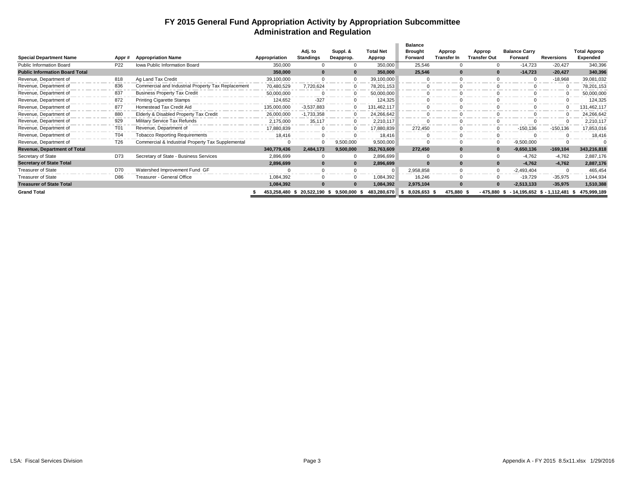#### **FY 2015 General Fund Appropriation Activity by Appropriation Subcommittee Administration and Regulation**

|                                       |                 |                                                    |               | Adj. to                   | Suppl. &          | <b>Total Net</b> | <b>Balance</b><br><b>Brought</b> | Approp             | Approp        | <b>Balance Carry</b> |                             | <b>Total Approp</b> |
|---------------------------------------|-----------------|----------------------------------------------------|---------------|---------------------------|-------------------|------------------|----------------------------------|--------------------|---------------|----------------------|-----------------------------|---------------------|
| <b>Special Department Name</b>        | Appr#           | <b>Appropriation Name</b>                          | Appropriation | <b>Standings</b>          | Deapprop.         | Approp           | Forward                          | <b>Transfer In</b> | Transfer Out  | Forward              | <b>Reversions</b>           | Expended            |
| <b>Public Information Board</b>       | P <sub>22</sub> | Iowa Public Information Board                      | 350,000       |                           |                   | 350,000          | 25,546                           |                    |               | $-14,723$            | $-20,427$                   | 340,396             |
| <b>Public Information Board Total</b> |                 |                                                    | 350,000       | $\Omega$                  |                   | 350,000          | 25,546                           | $\bf{0}$           | $\Omega$      | $-14,723$            | $-20,427$                   | 340,396             |
| Revenue, Department of                | 818             | Ag Land Tax Credit                                 | 39,100,000    |                           |                   | 39,100,000       |                                  |                    |               |                      | $-18,968$                   | 39,081,032          |
| Revenue, Department of                | 836             | Commercial and Industrial Property Tax Replacement | 70,480,529    | 7,720,624                 |                   | 78,201,153       |                                  |                    |               |                      |                             | 78,201,153          |
| Revenue, Department of                | 837             | <b>Business Property Tax Credit</b>                | 50,000,000    |                           |                   | 50,000,000       |                                  |                    |               |                      |                             | 50,000,000          |
| Revenue, Department of                | 872             | <b>Printing Cigarette Stamps</b>                   | 124,652       | $-327$                    |                   | 124,325          |                                  |                    |               |                      |                             | 124,325             |
| Revenue, Department of                | 877             | Homestead Tax Credit Aid                           | 135,000,000   | $-3,537,883$              |                   | 131.462.117      |                                  |                    |               |                      |                             | 131,462,117         |
| Revenue, Department of                | 880             | Elderly & Disabled Property Tax Credit             | 26,000,000    | $-1,733,358$              |                   | 24,266,642       |                                  |                    |               |                      |                             | 24,266,642          |
| Revenue, Department of                | 929             | Military Service Tax Refunds                       | 2,175,000     | 35,117                    | $\mathbf{0}$      | 2,210,117        |                                  |                    |               |                      |                             | 2,210,117           |
| Revenue, Department of                | T01             | Revenue, Department of                             | 17,880,839    |                           |                   | 17,880,839       | 272.450                          |                    |               | $-150, 136$          | $-150, 136$                 | 17,853,016          |
| Revenue, Department of                | T04             | <b>Tobacco Reporting Requirements</b>              | 18,416        |                           |                   | 18.416           |                                  |                    |               |                      |                             | 18,416              |
| Revenue, Department of                | T <sub>26</sub> | Commercial & Industrial Property Tax Supplemental  |               |                           | 9,500,000         | 9,500,000        |                                  |                    |               | $-9,500,000$         |                             |                     |
| <b>Revenue, Department of Total</b>   |                 |                                                    | 340,779,436   | 2,484,173                 | 9,500,000         | 352,763,609      | 272,450                          | $\mathbf{0}$       | $\bf{0}$      | $-9,650,136$         | $-169, 104$                 | 343,216,818         |
| Secretary of State                    | D73             | Secretary of State - Business Services             | 2,896,699     |                           |                   | 2,896,699        |                                  | 0                  |               | $-4,762$             | $-4,762$                    | 2,887,176           |
| <b>Secretary of State Total</b>       |                 |                                                    | 2,896,699     |                           |                   | 2,896,699        |                                  | $\bf{0}$           |               | $-4.762$             | $-4,762$                    | 2,887,176           |
| Treasurer of State                    | D70             | Watershed Improvement Fund GF                      |               |                           |                   |                  | 2,958,858                        | $\Omega$           |               | $-2,493,404$         |                             | 465,454             |
| <b>Treasurer of State</b>             | D86             | Treasurer - General Office                         | 1,084,392     |                           |                   | 1,084,392        | 16,246                           | $\Omega$           |               | $-19,729$            | $-35,975$                   | 1,044,934           |
| <b>Treasurer of State Total</b>       |                 |                                                    | 1,084,392     |                           |                   | 1,084,392        | 2,975,104                        | $\bf{0}$           | $\bf{0}$      | $-2,513,133$         | $-35,975$                   | 1,510,388           |
| <b>Grand Total</b>                    |                 |                                                    |               | 453,258,480 \$ 20,522,190 | 9,500,000<br>- 55 | 483,280,670      | 8,026,653 \$                     | 475,880 \$         | $-475,880$ \$ |                      | - 14,195,652 \$ - 1,112,481 | 475,999,189<br>- 5  |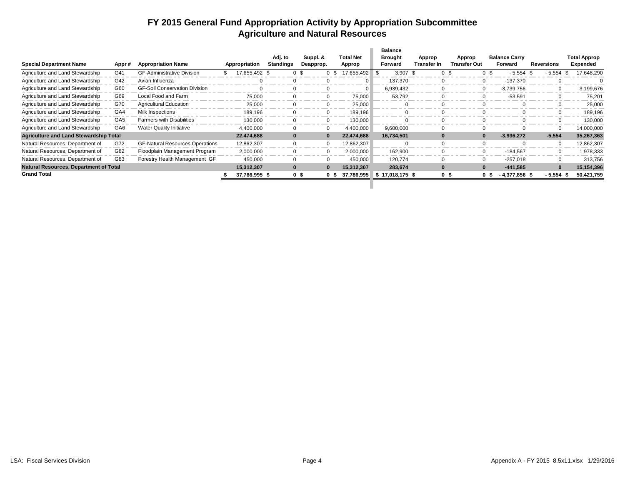### **FY 2015 General Fund Appropriation Activity by Appropriation Subcommittee Agriculture and Natural Resources**

|                                               |                 |                                        |                     |                             |                       |     |                                    | <b>Balance</b>            |            |                       |                        |                |                                 |            |             |                          |
|-----------------------------------------------|-----------------|----------------------------------------|---------------------|-----------------------------|-----------------------|-----|------------------------------------|---------------------------|------------|-----------------------|------------------------|----------------|---------------------------------|------------|-------------|--------------------------|
| <b>Special Department Name</b>                | Appr#           | <b>Appropriation Name</b>              | Appropriation       | Adj. to<br><b>Standings</b> | Suppl. &<br>Deapprop. |     | <b>Total Net</b><br>Approp         | <b>Brought</b><br>Forward |            | Approp<br>Transfer In | Approp<br>Transfer Out |                | <b>Balance Carry</b><br>Forward | Reversions |             | Total Approp<br>Expended |
|                                               |                 |                                        |                     |                             |                       |     |                                    |                           |            |                       |                        |                |                                 |            |             |                          |
| Agriculture and Land Stewardship              | G41             | <b>GF-Administrative Division</b>      | \$<br>17,655,492 \$ |                             | 0 <sup>5</sup>        | 0\$ | 17,655,492 \$                      |                           | $3,907$ \$ | 0 <sup>5</sup>        |                        |                | $-5,554$                        |            | $-5,554$    | 17,648,290               |
| Agriculture and Land Stewardship              | G42             | Avian Influenza                        |                     | $\Omega$                    |                       |     | $\Omega$                           |                           | 137.370    |                       |                        |                | $-137.370$                      |            |             |                          |
| Agriculture and Land Stewardship              | G60             | <b>GF-Soil Conservation Division</b>   |                     | $\Omega$                    |                       |     |                                    |                           | 6,939,432  |                       |                        |                | $-3,739,756$                    |            |             | 3,199,676                |
| Agriculture and Land Stewardship              | G69             | Local Food and Farm                    | 75.000              | $\Omega$                    |                       |     | 75,000                             |                           | 53,792     |                       |                        |                | $-53,591$                       |            |             | 75,201                   |
| Agriculture and Land Stewardship              | G70             | <b>Agricultural Education</b>          | 25.000              | $\Omega$                    |                       |     | 25.000                             |                           |            |                       |                        |                |                                 |            |             | 25,000                   |
| Agriculture and Land Stewardship              | GA4             | Milk Inspections                       | 189.196             | $\Omega$                    |                       |     | 189,196                            |                           |            |                       |                        |                |                                 |            |             | 189,196                  |
| Agriculture and Land Stewardship              | GA <sub>5</sub> | <b>Farmers with Disabilities</b>       | 130.000             | $\Omega$                    |                       |     | 130,000                            |                           |            |                       |                        |                |                                 |            |             | 130,000                  |
| Agriculture and Land Stewardship              | GA <sub>6</sub> | <b>Water Quality Initiative</b>        | 4,400,000           | $\Omega$                    |                       |     | 4,400,000                          |                           | 9,600,000  |                       |                        |                |                                 |            |             | 14,000,000               |
| <b>Agriculture and Land Stewardship Total</b> |                 |                                        | 22,474,688          | $\mathbf{0}$                | $\bf{0}$              |     | 22,474,688                         |                           | 16,734,501 | $\bf{0}$              |                        |                | $-3,936,272$                    |            | $-5,554$    | 35,267,363               |
| Natural Resources, Department of              | G72             | <b>GF-Natural Resources Operations</b> | 12,862,307          | $\mathbf 0$                 | $\Omega$              |     | 12,862,307                         |                           |            |                       |                        |                |                                 |            |             | 12,862,307               |
| Natural Resources, Department of              | G82             | Floodplain Management Program          | 2,000,000           | $\mathbf 0$                 | $\Omega$              |     | 2,000,000                          |                           | 162,900    |                       |                        | 0              | $-184,567$                      |            |             | 1,978,333                |
| Natural Resources, Department of              | G83             | Forestry Health Management GF          | 450,000             | $\Omega$                    |                       |     | 450,000                            |                           | 120,774    |                       |                        |                | $-257,018$                      |            |             | 313,756                  |
| <b>Natural Resources, Department of Total</b> |                 |                                        | 15,312,307          | $\bf{0}$                    |                       |     | 15,312,307                         |                           | 283,674    |                       |                        |                | $-441,585$                      |            |             | 15,154,396               |
| <b>Grand Total</b>                            |                 |                                        | 37,786,995 \$       |                             | 0 <sup>5</sup>        |     | $0$ \$ 37,786,995 \$ 17,018,175 \$ |                           |            | 0 <sup>5</sup>        |                        | 0 <sup>5</sup> | $-4,377,856$ \$                 |            | $-5,554$ \$ | 50,421,759               |
|                                               |                 |                                        |                     |                             |                       |     |                                    |                           |            |                       |                        |                |                                 |            |             |                          |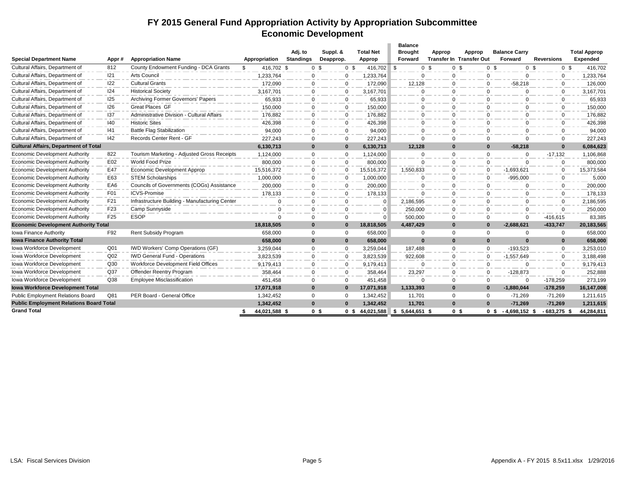### **FY 2015 General Fund Appropriation Activity by Appropriation Subcommittee Economic Development**

|                                                |                 |                                                |                     |                             |                       |                              | <b>Balance</b>            |          |                                           |                                  |                   |                                 |
|------------------------------------------------|-----------------|------------------------------------------------|---------------------|-----------------------------|-----------------------|------------------------------|---------------------------|----------|-------------------------------------------|----------------------------------|-------------------|---------------------------------|
| <b>Special Department Name</b>                 | Appr #          | <b>Appropriation Name</b>                      | Appropriation       | Adj. to<br><b>Standings</b> | Suppl. &<br>Deapprop. | <b>Total Net</b><br>Approp   | <b>Brought</b><br>Forward | Approp   | Approp<br><b>Transfer In Transfer Out</b> | <b>Balance Carry</b><br>Forward  | <b>Reversions</b> | <b>Total Approp</b><br>Expended |
| Cultural Affairs, Department of                | 812             | County Endowment Funding - DCA Grants          | 416,702 \$<br>\$    |                             | 0 <sup>5</sup>        | 416,702 \$<br>0 <sup>5</sup> | 0 <sup>5</sup>            |          | 0 <sup>5</sup>                            | 0 <sup>5</sup><br>0 <sup>5</sup> | 0 <sup>5</sup>    | 416,702                         |
| Cultural Affairs, Department of                | 121             | Arts Council                                   | 1,233,764           | $\mathbf 0$                 | $\mathbf 0$           | .233.764                     | $\Omega$                  | $\Omega$ | $\Omega$                                  | $\Omega$                         | 0                 | 1,233,764                       |
| Cultural Affairs, Department of                | 122             | <b>Cultural Grants</b>                         | 172,090             | $\Omega$                    | $\Omega$              | 172,090                      | 12,128                    | $\Omega$ | $\Omega$                                  | $-58,218$                        | $\Omega$          | 126,000                         |
| Cultural Affairs, Department of                | 124             | <b>Historical Society</b>                      | 3.167.701           | $\Omega$                    | $\Omega$              | 3,167,701                    | $\Omega$                  | $\Omega$ | $\Omega$                                  | $\Omega$                         | $\Omega$          | 3,167,701                       |
| Cultural Affairs, Department of                | 125             | Archiving Former Governors' Papers             | 65,933              | $\mathbf 0$                 | $\mathbf 0$           | 65,933                       | $\Omega$                  | $\Omega$ | $\mathbf 0$                               | $\Omega$                         | $\mathbf 0$       | 65,933                          |
| Cultural Affairs, Department of                | 126             | <b>Great Places GF</b>                         | 150,000             | $\Omega$                    | $\mathbf 0$           | 150,000                      | $\Omega$                  | $\Omega$ | $\Omega$                                  | $\Omega$                         | $\Omega$          | 150,000                         |
| Cultural Affairs, Department of                | 137             | Administrative Division - Cultural Affairs     | 176.882             | $\Omega$                    | $\mathbf 0$           | 176.882                      | 0                         | 0        | $\Omega$                                  | $\Omega$                         | $\mathbf{0}$      | 176,882                         |
| Cultural Affairs, Department of                | 140             | <b>Historic Sites</b>                          | 426,398             | $\Omega$                    | $\mathbf 0$           | 426,398                      | $\Omega$                  | $\Omega$ | $\Omega$                                  | $\Omega$                         | $\Omega$          | 426,398                         |
| Cultural Affairs, Department of                | 141             | <b>Battle Flag Stabilization</b>               | 94,000              | $\Omega$                    | $\Omega$              | 94,000                       | $\Omega$                  | $\Omega$ | $\Omega$                                  | $\Omega$                         | $\Omega$          | 94,000                          |
| Cultural Affairs, Department of                | 142             | Records Center Rent - GF                       | 227,243             | $\Omega$                    | $\mathbf 0$           | 227.243                      | $\Omega$                  | $\Omega$ | $\Omega$                                  | $\Omega$                         | 0                 | 227,243                         |
| <b>Cultural Affairs, Department of Total</b>   |                 |                                                | 6,130,713           | $\bf{0}$                    | $\mathbf 0$           | 6,130,713                    | 12,128                    | $\Omega$ | $\mathbf{0}$                              | $-58,218$                        | $\bf{0}$          | 6,084,623                       |
| <b>Economic Development Authority</b>          | 822             | Tourism Marketing - Adjusted Gross Receipts    | 1,124,000           | $\mathbf 0$                 | $\mathbf 0$           | 1,124,000                    | $\Omega$                  | $\Omega$ | $\mathbf 0$                               | $\Omega$                         | $-17,132$         | 1,106,868                       |
| <b>Economic Development Authority</b>          | E02             | World Food Prize                               | 800,000             | $\Omega$                    | $\mathbf 0$           | 800,000                      | $\Omega$                  | $\Omega$ | $\Omega$                                  | $\Omega$                         | $\Omega$          | 800,000                         |
| <b>Economic Development Authority</b>          | E47             | Economic Development Approp                    | 15,516,372          | $\Omega$                    | $\mathbf 0$           | 15,516,372                   | 1,550,833                 | 0        | $\Omega$                                  | $-1.693.621$                     | $\mathbf 0$       | 15,373,584                      |
| <b>Economic Development Authority</b>          | E63             | <b>STEM Scholarships</b>                       | 1,000,000           | 0                           | $\mathbf 0$           | 1,000,000                    | $\Omega$                  | $\Omega$ | $\mathbf 0$                               | $-995,000$                       | $\mathbf{0}$      | 5,000                           |
| <b>Economic Development Authority</b>          | EA6             | Councils of Governments (COGs) Assistance      | 200,000             | $\Omega$                    | $\Omega$              | 200.000                      | $\Omega$                  | $\Omega$ | $\Omega$                                  | $\Omega$                         | $\Omega$          | 200,000                         |
| <b>Economic Development Authority</b>          | F01             | <b>ICVS-Promise</b>                            | 178,133             | $\Omega$                    | $\Omega$              | 178,133                      | $\Omega$                  | $\Omega$ | $\Omega$                                  | $\Omega$                         | $\mathbf 0$       | 178,133                         |
| <b>Economic Development Authority</b>          | F21             | Infrastructure Building - Manufacturing Center | $\Omega$            | $\mathbf 0$                 | $\Omega$              | $\Omega$                     | 2,186,595                 | $\Omega$ | $\mathbf 0$                               | $\Omega$                         | $\Omega$          | 2,186,595                       |
| <b>Economic Development Authority</b>          | F <sub>23</sub> | Camp Sunnyside                                 | $\overline{0}$      | $\Omega$                    | $\mathbf 0$           | $\Omega$                     | 250,000                   | $\Omega$ | $\mathbf 0$                               | $\Omega$                         | $\mathbf 0$       | 250,000                         |
| <b>Economic Development Authority</b>          | F <sub>25</sub> | <b>ESOP</b>                                    | $\Omega$            | $\Omega$                    | $\mathbf 0$           | $\Omega$                     | 500.000                   | $\Omega$ | $\Omega$                                  | $\Omega$                         | $-416,615$        | 83,385                          |
| <b>Economic Development Authority Total</b>    |                 |                                                | 18,818,505          | $\bf{0}$                    | $\bf{0}$              | 18,818,505                   | 4,487,429                 | $\bf{0}$ | $\Omega$                                  | $-2,688,621$                     | $-433,747$        | 20,183,565                      |
| Iowa Finance Authority                         | F92             | Rent Subsidy Program                           | 658,000             | $\Omega$                    | $\mathbf 0$           | 658,000                      | $\Omega$                  | $\Omega$ | $\Omega$                                  | $\Omega$                         | $\mathbf{0}$      | 658,000                         |
| <b>Iowa Finance Authority Total</b>            |                 |                                                | 658,000             | $\bf{0}$                    | $\mathbf{0}$          | 658,000                      |                           | $\bf{0}$ | $\bf{0}$                                  | $\Omega$                         | $\bf{0}$          | 658,000                         |
| Iowa Workforce Development                     | Q <sub>01</sub> | <b>IWD Workers' Comp Operations (GF)</b>       | 3,259,044           | $\mathbf 0$                 | $\mathbf 0$           | 3.259.044                    | 187.488                   | $\Omega$ | $\mathbf 0$                               | $-193.523$                       | $\mathbf 0$       | 3,253,010                       |
| Iowa Workforce Development                     | Q <sub>02</sub> | <b>IWD General Fund - Operations</b>           | 3,823,539           | $\mathbf 0$                 | $\Omega$              | 3,823,539                    | 922,608                   | $\Omega$ | $\Omega$                                  | $-1.557.649$                     | $\Omega$          | 3,188,498                       |
| Iowa Workforce Development                     | Q30             | Workforce Development Field Offices            | 9,179,413           | $\Omega$                    | $\mathbf 0$           | 9,179,413                    | $\Omega$                  | $\Omega$ | $\Omega$                                  | $\Omega$                         | $\Omega$          | 9,179,413                       |
| Iowa Workforce Development                     | Q <sub>37</sub> | Offender Reentry Program                       | 358,464             | $\mathbf 0$                 | 0                     | 358,464                      | 23,297                    | $\Omega$ | $\mathbf 0$                               | $-128,873$                       | $\mathbf 0$       | 252,888                         |
| Iowa Workforce Development                     | Q38             | <b>Employee Misclassification</b>              | 451,458             | 0                           | $\mathbf{0}$          | 451,458                      | $\Omega$                  | $\Omega$ | $\mathbf{0}$                              | $\Omega$                         | $-178,259$        | 273,199                         |
| <b>Iowa Workforce Development Total</b>        |                 |                                                | 17,071,918          | $\bf{0}$                    | $\mathbf{0}$          | 17,071,918                   | 1,133,393                 | $\bf{0}$ |                                           | $-1.880.044$                     | $-178,259$        | 16,147,008                      |
| Public Employment Relations Board              | Q81             | PER Board - General Office                     | 1,342,452           | $\Omega$                    | $\mathbf 0$           | 1,342,452                    | 11,701                    | $\Omega$ | $\mathbf 0$                               | $-71,269$                        | $-71,269$         | 1,211,615                       |
| <b>Public Employment Relations Board Total</b> |                 |                                                | 1,342,452           | $\mathbf{0}$                | $\Omega$              | 1,342,452                    | 11,701                    | $\Omega$ | $\mathbf{0}$                              | $-71,269$                        | $-71,269$         | 1,211,615                       |
| <b>Grand Total</b>                             |                 |                                                | 44,021,588 \$<br>\$ |                             | 0 \$                  | 44,021,588<br>0 <sup>5</sup> | \$<br>5,644,651 \$        |          | 0 \$                                      | $-4,698,152$ \$<br>0 \$          | $-683,275$        | 44,284,811<br>- 5               |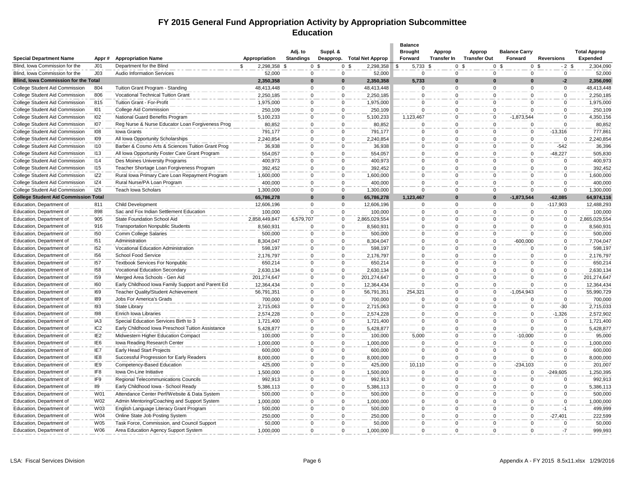#### **FY 2015 General Fund Appropriation Activity by Appropriation Subcommittee Education**

|                                                      |                 |                                                   |                    | Adj. to               | Suppl. &             |                             | <b>Balance</b><br><b>Brought</b> | Approp             | Approp              | <b>Balance Carry</b>       |                           | <b>Total Approp</b> |
|------------------------------------------------------|-----------------|---------------------------------------------------|--------------------|-----------------------|----------------------|-----------------------------|----------------------------------|--------------------|---------------------|----------------------------|---------------------------|---------------------|
| <b>Special Department Name</b>                       | Appr#           | <b>Appropriation Name</b>                         | Appropriation      | <b>Standings</b>      | Deapprop.            | <b>Total Net Approp</b>     | Forward                          | <b>Transfer In</b> | <b>Transfer Out</b> | Forward                    | <b>Reversions</b>         | <b>Expended</b>     |
| Blind, Iowa Commission for the                       | J <sub>01</sub> | Department for the Blind                          | 2,298,358 \$<br>\$ |                       | 0 <sup>5</sup>       | 0 <sup>5</sup><br>2,298,358 | 5,733 \$<br>\$                   |                    | 0 <sup>5</sup>      | 0 <sup>5</sup>             | 0 <sup>5</sup><br>$-2$ \$ | 2,304,090           |
| Blind, Iowa Commission for the                       | J <sub>03</sub> | <b>Audio Information Services</b>                 | 52,000             | $\Omega$              | $\Omega$             | 52,000                      | $\Omega$                         | $\Omega$           | $\Omega$            | $\Omega$                   | $\Omega$                  | 52,000              |
| <b>Blind, Iowa Commission for the Total</b>          |                 |                                                   | 2,350,358          | $\bf{0}$              | $\Omega$             | 2,350,358                   | 5,733                            | $\bf{0}$           | $\bf{0}$            | $\Omega$                   | $-2$                      | 2,356,090           |
| College Student Aid Commission                       | 804             | Tuition Grant Program - Standing                  | 48,413,448         | $\mathbf 0$           | $\Omega$             | 48,413,448                  | $\Omega$                         | 0                  | $\mathbf 0$         | $\mathbf 0$                | $\mathbf 0$               | 48,413,448          |
| College Student Aid Commission                       | 806             | Vocational Technical Tuition Grant                | 2,250,185          | $\mathbf 0$           | $\Omega$             | 2,250,185                   | $\Omega$                         | 0                  | $\mathbf 0$         | 0                          | $\Omega$                  | 2,250,185           |
| College Student Aid Commission                       | 815             | Tuition Grant - For-Profit                        | 1,975,000          | $\Omega$              | $\Omega$             | 1,975,000                   | $\Omega$                         | $\Omega$           |                     | $\mathbf 0$<br>$\Omega$    | $\Omega$                  | 1,975,000           |
| College Student Aid Commission                       | 101             | College Aid Commission                            | 250,109            | $\Omega$              | $\Omega$             | 250,109                     | $\Omega$                         | $\Omega$           | $\Omega$            | $\Omega$                   | $\Omega$                  | 250,109             |
| College Student Aid Commission                       | 102             | National Guard Benefits Program                   | 5,100,233          | $\Omega$              | $\Omega$             | 5,100,233                   | 1,123,467                        | $\mathbf 0$        | $\mathbf 0$         | $-1,873,544$               | $\mathbf 0$               | 4,350,156           |
| College Student Aid Commission                       | 107             | Reg Nurse & Nurse Educator Loan Forgiveness Prog  | 80,852             | $\Omega$              | $\Omega$             | 80,852                      | $\Omega$                         | $\Omega$           | $\mathbf 0$         | $\Omega$                   | $\Omega$                  | 80,852              |
| College Student Aid Commission                       | 108             | Iowa Grants                                       | 791,177            | $\Omega$              | $\Omega$             | 791,177                     | $\Omega$                         | 0                  | 0                   | $\mathsf 0$                | $-13,316$                 | 777,861             |
| College Student Aid Commission                       | I <sub>09</sub> | All Iowa Opportunity Scholarships                 | 2,240,854          | $\Omega$              | $\Omega$             | 2,240,854                   | $\Omega$                         | $\Omega$           | $\Omega$            | $\Omega$                   | $\Omega$                  | 2,240,854           |
| College Student Aid Commission                       | 110             | Barber & Cosmo Arts & Sciences Tuition Grant Prog | 36,938             | $\Omega$              | $\Omega$             | 36,938                      | $\Omega$                         | 0                  | $\Omega$            | $\Omega$                   | $-542$                    | 36,396              |
| College Student Aid Commission                       | 113             | All Iowa Opportunity Foster Care Grant Program    | 554,057            | $\mathbf 0$           | $\Omega$             | 554,057                     | $\Omega$                         | 0                  | $\mathbf 0$         | 0                          | $-48,227$                 | 505,830             |
| College Student Aid Commission                       | 114             | Des Moines University Programs                    | 400,973            | $\Omega$              | $\Omega$             | 400,973                     | $\Omega$                         | $\Omega$           | $\mathbf 0$         | $\Omega$                   | $\Omega$                  | 400,973             |
| College Student Aid Commission                       | 115             | Teacher Shortage Loan Forgiveness Program         | 392,452            | $\Omega$              | $\Omega$             | 392,452                     | $\Omega$                         | $\mathbf 0$        |                     | $\mathbf 0$<br>$\mathbf 0$ | $\Omega$                  | 392,452             |
| College Student Aid Commission                       | IZ <sub>2</sub> | Rural Iowa Primary Care Loan Repayment Program    | 1,600,000          | $\Omega$              | $\Omega$             | 1,600,000                   | $\Omega$                         | $\Omega$           | $\Omega$            | $\Omega$                   | $\Omega$                  | 1,600,000           |
| College Student Aid Commission                       | IZ4             | Rural Nurse/PA Loan Program                       | 400,000            | $\Omega$              | $\Omega$             | 400,000                     | $\Omega$                         | 0                  | $\Omega$            | $\Omega$                   | $\Omega$                  | 400,000             |
| College Student Aid Commission                       | IZ <sub>6</sub> | <b>Teach Iowa Scholars</b>                        | 1,300,000          | $\Omega$              | $\Omega$             | 1,300,000                   | $\Omega$                         | $\Omega$           | $\Omega$            | $\Omega$                   | $\Omega$                  | 1,300,000           |
| <b>College Student Aid Commission Total</b>          |                 |                                                   | 65,786,278         | 0                     | $\Omega$             | 65,786,278                  | 1,123,467                        | $\Omega$           | $\bf{0}$            | $-1,873,544$               | $-62.085$                 | 64,974,116          |
| Education, Department of                             | 811             | <b>Child Development</b>                          | 12,606,196         | $\Omega$              | $\Omega$             | 12,606,196                  | $\Omega$                         | $\Omega$           | $\Omega$            | $\Omega$                   | $-117,903$                | 12,488,293          |
| Education, Department of                             | 898             | Sac and Fox Indian Settlement Education           | 100,000            | $\Omega$              | $\Omega$             | 100,000                     | $\Omega$                         | $\Omega$           | $\Omega$            | $\Omega$                   | $\Omega$                  | 100,000             |
|                                                      | 905             | State Foundation School Aid                       | 2,858,449,847      |                       | $\Omega$             | 2,865,029,554               | $\Omega$                         | $\Omega$           | $\Omega$            | $\Omega$                   | $\Omega$                  | 2,865,029,554       |
| Education, Department of<br>Education, Department of | 916             | <b>Transportation Nonpublic Students</b>          |                    | 6,579,707<br>$\Omega$ |                      |                             |                                  |                    |                     | $\Omega$                   | $\mathbf 0$               |                     |
|                                                      |                 |                                                   | 8,560,931          | $\Omega$              | $\Omega$             | 8,560,931                   | $\Omega$<br>$\Omega$             | 0<br>$\Omega$      | 0                   | $\Omega$                   | $\Omega$                  | 8,560,931           |
| Education, Department of                             | <b>150</b>      | Comm College Salaries                             | 500,000            |                       | $\Omega$<br>$\Omega$ | 500,000                     | $\Omega$                         |                    |                     | $\mathbf 0$                | $\Omega$                  | 500,000             |
| Education, Department of                             | I51             | Administration                                    | 8,304,047          | $\Omega$              |                      | 8,304,047                   |                                  | $\Omega$           | $\Omega$            | $-600,000$                 |                           | 7,704,047           |
| Education, Department of                             | 152             | Vocational Education Administration               | 598,197            | $\Omega$              | $\Omega$             | 598,197                     | $\Omega$                         | 0                  | $\mathbf 0$         | $\Omega$                   | $\mathbf 0$               | 598,197             |
| Education, Department of                             | <b>156</b>      | School Food Service                               | 2,176,797          | $\Omega$              | $\Omega$             | 2,176,797                   | $\Omega$                         | $\Omega$           | $\Omega$            | $\Omega$                   | $\Omega$                  | 2,176,797           |
| Education, Department of                             | 157             | <b>Textbook Services For Nonpublic</b>            | 650,214            | $\Omega$              | $\Omega$             | 650,214                     | $\Omega$                         | 0                  | $\mathbf 0$         | $\Omega$                   | $\Omega$                  | 650,214             |
| Education, Department of                             | <b>158</b>      | Vocational Education Secondary                    | 2,630,134          | $\Omega$              | $\Omega$             | 2,630,134                   | $\Omega$                         | $\Omega$           | $\Omega$            | $\Omega$                   | $\Omega$                  | 2,630,134           |
| Education, Department of                             | <b>159</b>      | Merged Area Schools - Gen Aid                     | 201,274,647        | $\Omega$              | $\Omega$             | 201,274,647                 | $\Omega$                         | 0                  |                     | $\Omega$<br>$\mathbf 0$    | $\Omega$                  | 201,274,647         |
| Education, Department of                             | 160             | Early Childhood lowa Family Support and Parent Ed | 12,364,434         | $\Omega$              | $\Omega$             | 12,364,434                  | $\Omega$                         | 0                  | $\mathbf 0$         | $\Omega$                   | $\Omega$                  | 12,364,434          |
| Education, Department of                             | <b>169</b>      | Teacher Quality/Student Achievement               | 56,791,351         | $\Omega$              | $\Omega$             | 56,791,351                  | 254,321                          | $\Omega$           | $\Omega$            | $-1,054,943$               | $\Omega$                  | 55,990,729          |
| Education, Department of                             | 189             | Jobs For America's Grads                          | 700,000            | $\Omega$              | $\Omega$             | 700,000                     | $\Omega$                         | 0                  | $\mathbf 0$         | $\Omega$                   | $\Omega$                  | 700,000             |
| Education, Department of                             | 193             | State Library                                     | 2,715,063          | $\Omega$              | $\Omega$             | 2,715,063                   | $\Omega$                         | $\Omega$           | $\Omega$            | $\Omega$                   | $-30$                     | 2,715,033           |
| Education, Department of                             | 198             | Enrich Iowa Libraries                             | 2,574,228          | $\Omega$              | $\Omega$             | 2,574,228                   | $\Omega$                         | 0                  | $\Omega$            | $\mathbf 0$                | $-1,326$                  | 2,572,902           |
| Education, Department of                             | IA <sub>3</sub> | Special Education Services Birth to 3             | 1,721,400          | $\Omega$              | $\Omega$             | 1,721,400                   | $\Omega$                         | $\mathbf 0$        | $\mathbf 0$         | $\Omega$                   | $\mathbf 0$               | 1,721,400           |
| Education, Department of                             | IC <sub>2</sub> | Early Childhood Iowa Preschool Tuition Assistance | 5,428,877          | $\Omega$              | $\Omega$             | 5,428,877                   | $\Omega$                         | $\Omega$           | $\mathbf 0$         | $\Omega$                   | $\Omega$                  | 5,428,877           |
| Education, Department of                             | IE <sub>2</sub> | Midwestern Higher Education Compact               | 100,000            | $\Omega$              | $\Omega$             | 100,000                     | 5,000                            | 0                  |                     | $\mathbf 0$<br>$-10,000$   | $\Omega$                  | 95,000              |
| Education, Department of                             | IE <sub>6</sub> | lowa Reading Research Center                      | 1,000,000          | $\Omega$              | $\Omega$             | 1,000,000                   | $\Omega$                         | 0                  | 0                   | $\Omega$                   | $\mathbf 0$               | 1,000,000           |
| Education, Department of                             | IE7             | Early Head Start Projects                         | 600,000            | $\Omega$              | $\Omega$             | 600,000                     | $\Omega$                         | 0                  | $\mathbf 0$         | $\Omega$                   | $\Omega$                  | 600,000             |
| Education, Department of                             | IE <sub>8</sub> | Successful Progression for Early Readers          | 8,000,000          | $\Omega$              | $\Omega$             | 8,000,000                   | $\Omega$                         | 0                  | 0                   | $\Omega$                   | $\Omega$                  | 8,000,000           |
| Education, Department of                             | IE9             | Competency-Based Education                        | 425,000            | $\Omega$              | $\Omega$             | 425,000                     | 10,110                           | $\Omega$           | $\mathbf 0$         | $-234,103$                 | $\Omega$                  | 201,007             |
| Education, Department of                             | IF <sub>8</sub> | Iowa On-Line Initiative                           | 1,500,000          | $\Omega$              | $\Omega$             | 1,500,000                   | $\Omega$                         | $\mathbf 0$        | $\Omega$            | $\Omega$                   | $-249,605$                | 1,250,395           |
| Education, Department of                             | IF <sub>9</sub> | Regional Telecommunications Councils              | 992,913            | $\mathbf 0$           | $\Omega$             | 992,913                     | $\Omega$                         | 0                  | $\Omega$            | 0                          | $\Omega$                  | 992,913             |
| Education, Department of                             | II9             | Early Childhood Iowa - School Ready               | 5,386,113          | $\Omega$              | $\Omega$             | 5,386,113                   | $\Omega$                         | $\Omega$           | $\Omega$            | $\Omega$                   | $\Omega$                  | 5,386,113           |
| Education, Department of                             | W01             | Attendance Center Perf/Website & Data System      | 500,000            | $\Omega$              | $\Omega$             | 500,000                     | $\Omega$                         | $\mathbf{0}$       | 0                   | $\Omega$                   | $\mathbf 0$               | 500,000             |
| Education, Department of                             | W02             | Admin Mentoring/Coaching and Support System       | 1,000,000          | $\Omega$              | $\Omega$             | 1,000,000                   | $\Omega$                         | $\Omega$           | $\Omega$            | $\Omega$                   | $\Omega$                  | 1,000,000           |
| Education, Department of                             | W03             | English Language Literacy Grant Program           | 500,000            | $\Omega$              | $\Omega$             | 500,000                     | $\Omega$                         | 0                  | $\Omega$            | $\Omega$                   | $-1$                      | 499,999             |
| Education, Department of                             | W04             | Online State Job Posting System                   | 250,000            | $\Omega$              | $\Omega$             | 250,000                     | $\Omega$                         | 0                  | $\mathbf 0$         | $\mathsf 0$                | $-27,401$                 | 222,599             |
| Education, Department of                             | W05             | Task Force, Commission, and Council Support       | 50,000             | $\Omega$              | $\Omega$             | 50,000                      | $\Omega$                         | $\Omega$           | $\Omega$            |                            | $\Omega$<br>$\Omega$      | 50,000              |
| Education, Department of                             | W06             | Area Education Agency Support System              | 1,000,000          | $\Omega$              | $\Omega$             | 1,000,000                   | $\Omega$                         | $\mathbf 0$        |                     | $\mathbf 0$<br>$\mathbf 0$ | $-7$                      | 999,993             |
|                                                      |                 |                                                   |                    |                       |                      |                             |                                  |                    |                     |                            |                           |                     |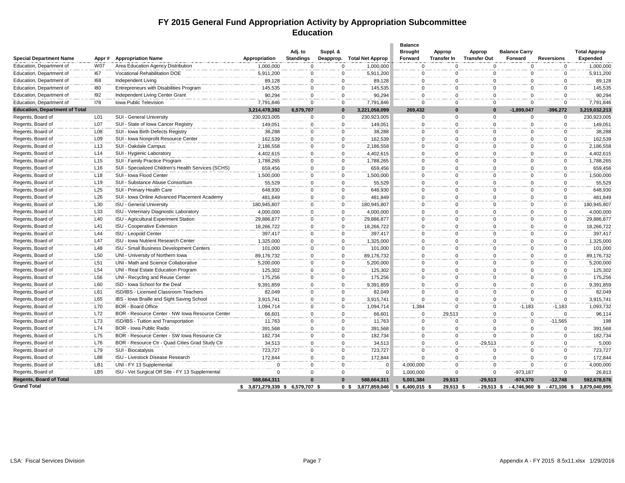#### **FY 2015 General Fund Appropriation Activity by Appropriation Subcommittee Education**

|                                        |                 |                                                                     |                                  |                       |                          |                                                 | <b>Balance</b>         |                      |                      |                          |                               |                              |
|----------------------------------------|-----------------|---------------------------------------------------------------------|----------------------------------|-----------------------|--------------------------|-------------------------------------------------|------------------------|----------------------|----------------------|--------------------------|-------------------------------|------------------------------|
|                                        |                 |                                                                     |                                  | Adj. to               | Suppl. &                 |                                                 | <b>Brought</b>         | <b>Approp</b>        | Approp               | <b>Balance Carry</b>     |                               | <b>Total Approp</b>          |
| <b>Special Department Name</b>         | Appr#           | <b>Appropriation Name</b>                                           | Appropriation                    | <b>Standings</b>      |                          | Deapprop. Total Net Approp                      | Forward                | Transfer In          | <b>Transfer Out</b>  | Forward                  | <b>Reversions</b>             | <b>Expended</b>              |
| Education, Department of               | <b>W07</b>      | Area Education Agency Distribution<br>Vocational Rehabilitation DOE | 1,000,000                        | $\Omega$              | $\Omega$                 | 1,000,000                                       | $\mathbf{0}$           | $\Omega$             | $\Omega$             | $\Omega$                 | $\mathbf 0$                   | 1,000,000                    |
| Education, Department of               | 167             |                                                                     | 5,911,200                        | $\Omega$              | $\Omega$                 | 5,911,200                                       | $\Omega$               | $\Omega$             | $\Omega$<br>$\Omega$ | $\Omega$<br>$\Omega$     | $\Omega$<br>$\Omega$          | 5,911,200                    |
| Education, Department of               | 168             | Independent Living                                                  | 89,128                           | $\Omega$              | $\Omega$                 | 89,128                                          | $\Omega$               | $\mathbf 0$          |                      |                          |                               | 89,128                       |
| Education, Department of               | 180             | Entrepreneurs with Disabilities Program                             | 145,535                          | $\Omega$              | $\Omega$                 | 145,535                                         | $\mathbf 0$            | $\Omega$             | $\Omega$<br>$\Omega$ | $\Omega$                 | $\Omega$                      | 145,535                      |
| Education, Department of               | 192             | Independent Living Center Grant                                     | 90,294                           | $\Omega$              | $\mathbf{0}$             | 90,294                                          | $\mathbf 0$            | $\mathbf 0$          |                      | $\Omega$                 | $\Omega$                      | 90,294                       |
| Education, Department of               | <b>178</b>      | Iowa Public Television                                              | 7,791,846                        | $\Omega$              | $\Omega$                 | 7,791,846                                       | $\Omega$               | $\Omega$<br>$\Omega$ | $\Omega$<br>$\Omega$ | $\Omega$                 | $\Omega$                      | 7,791,846                    |
| <b>Education, Department of Total</b>  | L <sub>01</sub> | SUI - General University                                            | 3,214,478,392<br>230,923,005     | 6,579,707<br>$\Omega$ | $\bf{0}$<br>$\mathbf{0}$ | 3,221,058,099<br>230,923,005                    | 269,432<br>$\mathbf 0$ | $\Omega$             | $\Omega$             | $-1,899,047$<br>$\Omega$ | $-396,272$<br>$\Omega$        | 3,219,032,213<br>230,923,005 |
| Regents, Board of<br>Regents, Board of | L07             | SUI - State of Iowa Cancer Registry                                 |                                  |                       |                          |                                                 |                        |                      |                      | $\Omega$                 |                               |                              |
|                                        |                 |                                                                     | 149,051                          | $\Omega$              | $\mathbf{0}$             | 149,051                                         | $\mathbf{0}$           | $\mathbf 0$          | $\Omega$             |                          | $\mathbf{0}$                  | 149,051                      |
| Regents, Board of                      | L08             | SUI - Iowa Birth Defects Registry                                   | 38,288                           | $\Omega$<br>$\Omega$  | $\Omega$<br>$\Omega$     | 38,288                                          | $\Omega$               | $\Omega$             | $\Omega$             | $\Omega$                 | $\Omega$<br>$\Omega$          | 38,288                       |
| Regents, Board of                      | L09             | SUI - Iowa Nonprofit Resource Center                                | 162,539                          |                       |                          | 162,539                                         | $\mathbf{0}$           | $\mathbf 0$          | $\Omega$             | $\Omega$                 |                               | 162,539                      |
| Regents, Board of                      | L <sub>13</sub> | SUI - Oakdale Campus                                                | 2,186,558                        | $\Omega$              | $\mathbf 0$              | 2,186,558                                       | $\mathbf 0$            | $\mathbf 0$          | $\mathbf 0$          | $\Omega$                 | $\mathbf 0$                   | 2,186,558                    |
| Regents, Board of                      | L14             | SUI - Hygienic Laboratory                                           | 4,402,615                        | $\Omega$              | $\Omega$                 | 4,402,615                                       | $\Omega$               | $\Omega$             | $\Omega$             | $\Omega$                 | $\Omega$                      | 4,402,615                    |
| Regents, Board of                      | L15             | SUI - Family Practice Program                                       | 1,788,265                        | $\Omega$              | $\Omega$                 | 1,788,265                                       | $\Omega$               | $\mathbf 0$          | $\Omega$             | $\Omega$                 | $\Omega$                      | 1,788,265                    |
| Regents, Board of                      | L16             | SUI - Specialized Children's Health Services (SCHS)                 | 659,456                          | $\Omega$              | $\mathbf 0$              | 659,456                                         | $\mathbf 0$            | $\mathbf 0$          | $\mathbf 0$          | $\mathbf{0}$             | $\mathbf 0$                   | 659,456                      |
| Regents, Board of                      | L18             | SUI - Iowa Flood Center                                             | 1,500,000                        | $\Omega$              | $\Omega$                 | 1,500,000                                       | $\Omega$               | $\mathbf 0$          | $\Omega$             | 0                        | $\Omega$                      | 1,500,000                    |
| Regents, Board of                      | L <sub>19</sub> | SUI - Substance Abuse Consortium                                    | 55,529                           | $\Omega$              | $\Omega$                 | 55,529                                          | $\Omega$               | $\Omega$             | $\Omega$             | $\Omega$                 | $\Omega$                      | 55,529                       |
| Regents, Board of                      | L25             | SUI - Primary Health Care                                           | 648,930                          | $\Omega$              | $\Omega$                 | 648,930                                         | $\mathbf{0}$           | $\mathbf 0$          | $\Omega$             | $\Omega$                 | $\Omega$                      | 648,930                      |
| Regents, Board of                      | L26             | SUI - Iowa Online Advanced Placement Academy                        | 481,849                          | $\Omega$              | $\mathbf{0}$             | 481,849                                         | $\mathbf 0$            | $\mathbf 0$          | $\Omega$             | $\Omega$                 | $\Omega$                      | 481,849                      |
| Regents, Board of                      | L30             | <b>ISU - General University</b>                                     | 180,945,807                      | $\Omega$              | $\mathbf 0$              | 180,945,807                                     | $\Omega$               | $\mathbf 0$          | $\Omega$             | 0                        | $\Omega$                      | 180,945,807                  |
| Regents, Board of                      | L33             | ISU - Veterinary Diagnostic Laboratory                              | 4,000,000                        | $\Omega$              | $\overline{0}$           | 4,000,000                                       | $\Omega$               | $\Omega$             | $\Omega$             | $\Omega$                 | $\Omega$                      | 4,000,000                    |
| Regents, Board of                      | L40             | ISU - Agricultural Experiment Station                               | 29,886,877                       | $\Omega$              | 0                        | 29,886,877                                      | $\mathbf 0$            | $\mathbf 0$          | $\Omega$             | $\Omega$                 | $\mathbf 0$                   | 29,886,877                   |
| Regents, Board of                      | L41             | ISU - Cooperative Extension                                         | 18,266,722                       | $\Omega$              | $\mathbf{0}$             | 18,266,722                                      | $\mathbf 0$            | $\Omega$             | $\Omega$             | $\Omega$                 | $\Omega$                      | 18,266,722                   |
| Regents, Board of                      | L44             | ISU - Leopold Center                                                | 397,417                          | $\Omega$              | $\Omega$                 | 397,417                                         | $\Omega$               | $\mathbf 0$          | $\Omega$             | $\Omega$                 | $\Omega$                      | 397,417                      |
| Regents, Board of                      | L47             | ISU - Iowa Nutrient Research Center                                 | 1,325,000                        | $\Omega$              | $\Omega$                 | 1,325,000                                       | $\Omega$               | $\Omega$             | $\Omega$             | $\Omega$                 | $\Omega$                      | 1,325,000                    |
| Regents, Board of                      | L48             | ISU - Small Business Development Centers                            | 101,000                          | $\Omega$              | 0                        | 101,000                                         | $\mathbf 0$            | $\mathbf 0$          | $\Omega$             | $\Omega$                 | 0                             | 101,000                      |
| Regents, Board of                      | L <sub>50</sub> | UNI - University of Northern Iowa                                   | 89,176,732                       | $\Omega$              | $\Omega$                 | 89,176,732                                      | $\Omega$               | $\Omega$             | $\Omega$             | $\Omega$                 | $\Omega$                      | 89,176,732                   |
| Regents, Board of                      | L <sub>51</sub> | UNI - Math and Science Collaborative                                | 5,200,000                        | $\Omega$              | $\Omega$                 | 5,200,000                                       | $\Omega$               | $\Omega$             | $\Omega$             | $\Omega$                 | $\Omega$                      | 5,200,000                    |
| Regents, Board of                      | L54             | UNI - Real Estate Education Program                                 | 125,302                          | $\Omega$              | $\mathbf 0$              | 125,302                                         | $\mathbf 0$            | $\Omega$             | $\Omega$             | $\mathbf{0}$             | $\Omega$                      | 125,302                      |
| Regents, Board of                      | L <sub>56</sub> | UNI - Recycling and Reuse Center                                    | 175,256                          | $\Omega$              | $\mathbf{0}$             | 175,256                                         | $\mathbf{0}$           | $\Omega$             | $\Omega$             | $\Omega$                 | $\Omega$                      | 175,256                      |
| Regents, Board of                      | L60             | ISD - Iowa School for the Deaf                                      | 9,391,859                        | $\Omega$              | $\Omega$                 | 9,391,859                                       | $\Omega$               | $\Omega$             | $\Omega$             | $\Omega$                 | $\Omega$                      | 9,391,859                    |
| Regents, Board of                      | L61             | ISD/IBS - Licensed Classroom Teachers                               | 82,049                           | $\Omega$              | $\Omega$                 | 82,049                                          | $\Omega$               | $\mathbf 0$          | $\Omega$             | $\Omega$                 | $\Omega$                      | 82,049                       |
| Regents, Board of                      | L65             | IBS - Iowa Braille and Sight Saving School                          | 3,915,741                        | $\Omega$              | $\mathbf{0}$             | 3,915,741                                       | $\mathbf{0}$           | $\mathbf 0$          | $\Omega$             | $\Omega$                 | $\mathbf 0$                   | 3,915,741                    |
| Regents, Board of                      | L70             | <b>BOR - Board Office</b>                                           | 1,094,714                        | $\Omega$              | $\Omega$                 | 1,094,714                                       | 1,384                  | $\mathbf 0$          | $\Omega$             | $-1,183$                 | $-1,183$                      | 1,093,732                    |
| Regents, Board of                      | L72             | BOR - Resource Center - NW Iowa Resource Center                     | 66,601                           | $\Omega$              | $\Omega$                 | 66,601                                          | $\Omega$               | 29,513               | $\Omega$             | $\Omega$                 | $\Omega$                      | 96,114                       |
| Regents, Board of                      | L73             | ISD/IBS - Tuition and Transportation                                | 11,763                           | $\Omega$              | $\Omega$                 | 11,763                                          | $\mathbf{0}$           | $\Omega$             | $\Omega$             | $\mathbf{0}$             | $-11,565$                     | 198                          |
| Regents, Board of                      | L74             | BOR - Iowa Public Radio                                             | 391,568                          | $\Omega$              | $\mathbf 0$              | 391,568                                         | $\mathbf{0}$           | $\Omega$             | $\Omega$             | $\Omega$                 | $\Omega$                      | 391,568                      |
| Regents, Board of                      | L75             | BOR - Resource Center - SW Iowa Resource Ctr                        | 182,734                          | $\Omega$              | $\Omega$                 | 182,734                                         | $\Omega$               | $\Omega$             | $\Omega$             | $\Omega$                 | $\Omega$                      | 182,734                      |
| Regents, Board of                      | L76             | BOR - Resource Ctr - Quad Cities Grad Study Ctr                     | 34,513                           | $\Omega$              | $\Omega$                 | 34,513                                          | $\Omega$               | $\mathbf 0$          | $-29,513$            | $\Omega$                 | $\Omega$                      | 5,000                        |
| Regents, Board of                      | L79             | SUI - Biocatalysis                                                  | 723,727                          | $\Omega$              | $\mathbf 0$              | 723,727                                         | $\Omega$               | $\mathbf 0$          | $\Omega$             | $\Omega$                 | $\Omega$                      | 723,727                      |
| Regents, Board of                      | L88             | ISU - Livestock Disease Research                                    | 172,844                          | $\Omega$              | $\Omega$                 | 172,844                                         | $\Omega$               | $\mathbf 0$          | $\Omega$             | $\Omega$                 | $\Omega$                      | 172,844                      |
| Regents, Board of                      | LB1             | UNI - FY 13 Supplemental                                            | $\Omega$                         | $\Omega$              | $\Omega$                 |                                                 | 4,000,000              | $\Omega$             | $\Omega$             | $\Omega$                 | $\Omega$                      | 4,000,000                    |
| Regents, Board of                      | LB5             | ISU - Vet Surgical Off Site - FY 13 Supplemental                    | $\Omega$                         | 0                     | 0                        | $\Omega$                                        | 1,000,000              | 0                    | 0                    | $-973,187$               | 0                             | 26,813                       |
| <b>Regents, Board of Total</b>         |                 |                                                                     | 588,664,311                      | $\Omega$              | $\Omega$                 | 588.664.311                                     | 5.001.384              | 29.513               | $-29.513$            | $-974.370$               | $-12.748$                     | 592,678,576                  |
| <b>Grand Total</b>                     |                 |                                                                     | \$ 3,871,279,339 \$ 6,579,707 \$ |                       |                          | 3,877,859,046 \$ 6,400,015 \$<br>0 <sup>5</sup> |                        | 29,513 \$            | $-29.513$ \$         |                          | $-4,746,960$ \$ $-471,106$ \$ | 3.879.040.995                |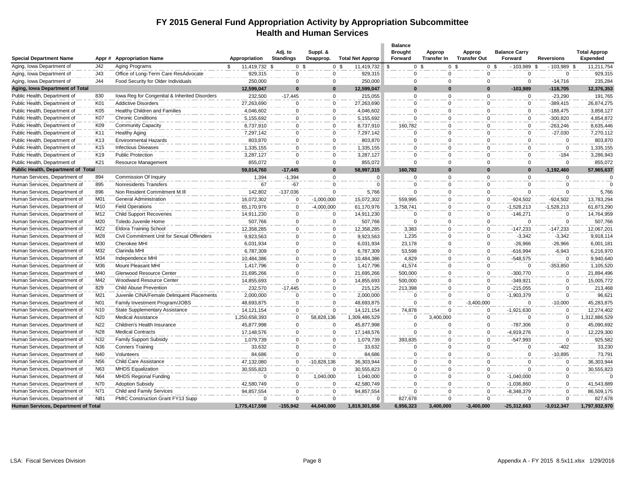#### **FY 2015 General Fund Appropriation Activity by Appropriation Subcommittee Health and Human Services**

| <b>Special Department Name</b>                                 | Appr#            | <b>Appropriation Name</b>                     | Appropriation          | Adj. to<br><b>Standings</b> | Suppl. &<br>Deapprop. | <b>Total Net Approp</b> | <b>Balance</b><br><b>Brought</b><br>Forward | Approp<br><b>Transfer In</b> | Approp<br><b>Transfer Out</b> | <b>Balance Carry</b><br>Forward | <b>Reversions</b>   | <b>Total Approp</b><br>Expended |
|----------------------------------------------------------------|------------------|-----------------------------------------------|------------------------|-----------------------------|-----------------------|-------------------------|---------------------------------------------|------------------------------|-------------------------------|---------------------------------|---------------------|---------------------------------|
| Aging, Iowa Department of                                      | J42              | Aging Programs                                | 11,419,732 \$<br>\$.   | 0 <sup>5</sup>              | 0 <sup>5</sup>        | 11,419,732              | 0 <sup>5</sup>                              |                              | 0 <sup>5</sup>                | 0 <sup>5</sup><br>$-103,989$    | $-103,989$ \$<br>٩. | 11,211,754                      |
| Aging, Iowa Department of                                      | J43              | Office of Long-Term Care ResAdvocate          | 929,315                | 0                           | 0                     | 929,315                 | 0                                           | 0                            | 0                             | 0                               | 0                   | 929,315                         |
| Aging, Iowa Department of                                      | J44              | Food Security for Older Individuals           | 250,000                | $\Omega$                    | $\mathbf 0$           | 250,000                 | $\Omega$                                    | $\Omega$                     | $\Omega$                      | $\mathbf{0}$                    | $-14,716$           | 235,284                         |
| Aging, Iowa Department of Total                                |                  |                                               | 12,599,047             | $\Omega$                    | $\mathbf{0}$          | 12,599,047              | $\Omega$                                    | $\mathbf{0}$                 | $\Omega$                      | $-103.989$                      | $-118,705$          | 12,376,353                      |
| Public Health, Department of                                   | 830              | Iowa Reg for Congenital & Inherited Disorders | 232,500                | $-17,445$                   | $\overline{0}$        | 215,055                 | 0                                           | $\mathbf 0$                  | $\Omega$                      | $\mathbf 0$                     | $-23,290$           | 191,765                         |
| Public Health, Department of                                   | K01              | <b>Addictive Disorders</b>                    | 27,263,690             | $\mathbf 0$                 | $\mathbf 0$           | 27,263,690              | 0                                           | 0                            | $\mathbf 0$                   | $\mathbf 0$                     | $-389,415$          | 26,874,275                      |
| Public Health, Department of                                   | K05              | Healthy Children and Families                 | 4,046,602              | $\Omega$                    | $\mathbf 0$           | 4,046,602               | $\Omega$                                    | $\mathbf 0$                  | $\Omega$                      | $\mathbf 0$                     | $-188,475$          | 3,858,127                       |
| Public Health, Department of                                   | K07              | <b>Chronic Conditions</b>                     | 5,155,692              | $\mathbf 0$                 | $\mathbf 0$           | 5,155,692               | 0                                           | 0                            | $\mathbf 0$                   | $\mathbf 0$                     | $-300,820$          | 4,854,872                       |
| Public Health, Department of                                   | K09              | <b>Community Capacity</b>                     | 8,737,910              | $\mathbf 0$                 | $\Omega$              | 8,737,910               | 160,782                                     | 0                            | $\mathbf 0$                   | $\mathbf 0$                     | $-263,246$          | 8,635,446                       |
| Public Health, Department of                                   | K11              | <b>Healthy Aging</b>                          | 7,297,142              | $\mathbf 0$                 | $\mathbf 0$           | 7,297,142               | $\mathbf 0$                                 | 0                            | $\mathbf 0$                   | $\mathbf 0$                     | $-27,030$           | 7,270,112                       |
| Public Health, Department of                                   | K13              | <b>Environmental Hazards</b>                  | 803,870                | $\mathbf 0$                 | $\mathbf 0$           | 803,870                 | 0                                           | 0                            | $\mathbf 0$                   | $\mathbf 0$                     | $\mathbf 0$         | 803,870                         |
| Public Health, Department of                                   | K15              | <b>Infectious Diseases</b>                    | 1,335,155              | $\mathbf 0$                 | 0                     | 1,335,155               | $\mathbf 0$                                 | 0                            | 0                             | $\mathbf 0$                     | $\mathbf 0$         | 1,335,155                       |
| Public Health, Department of                                   | K19              | <b>Public Protection</b>                      | 3,287,127              | $\Omega$                    | $\mathbf 0$           | 3,287,127               | $\Omega$                                    | $\mathbf 0$                  | $\Omega$                      | $\mathbf{0}$                    | $-184$              | 3,286,943                       |
| Public Health, Department of                                   | K21              | <b>Resource Management</b>                    | 855,072                | $\mathbf 0$                 | $\mathbf 0$           | 855,072                 | $\mathbf 0$                                 | $\mathbf 0$                  | $\mathbf 0$                   | $\overline{0}$                  | $\mathbf 0$         | 855,072                         |
| Public Health, Department of Total                             |                  |                                               | 59,014,760             | $-17,445$                   | $\bf{0}$              | 58,997,315              | 160,782                                     | $\bf{0}$                     | $\Omega$                      | $\bf{0}$                        | $-1.192.460$        | 57,965,637                      |
| Human Services, Department of                                  | 894              | Commission Of Inquiry                         | 1,394                  | $-1,394$                    | $\mathbf 0$           | $\Omega$                | 0                                           | $\mathbf 0$                  | $\Omega$                      | $\mathbf 0$                     | $\mathbf 0$         |                                 |
| Human Services, Department of                                  | 895              | Nonresidents Transfers                        | 67                     | $-67$                       | $\mathbf 0$           | - 0                     | $\Omega$                                    | 0                            | $\mathbf 0$                   | $\mathbf{0}$                    | $\mathbf 0$         |                                 |
| Human Services, Department of                                  | 896              | Non Resident Commitment M.III                 | 142,802                | $-137,036$                  | $\Omega$              | 5,766                   | $\Omega$                                    | 0                            | $\mathbf 0$                   | $\mathsf 0$                     | $\mathbf 0$         | 5,766                           |
| Human Services, Department of                                  | M01              | General Administration                        | 16,072,302             | $\mathbf 0$                 | $-1,000,000$          | 15,072,302              | 559,995                                     | 0                            | $\mathbf 0$                   | $-924,502$                      | $-924,502$          | 13,783,294                      |
| Human Services, Department of                                  | M10              | <b>Field Operations</b>                       | 65,170,976             | $\mathbf 0$                 | $-4,000,000$          | 61,170,976              | 3,758,741                                   | 0                            | $\mathbf 0$                   | $-1,528,213$                    | $-1,528,213$        | 61,873,290                      |
| Human Services, Department of                                  | M12              | <b>Child Support Recoveries</b>               | 14,911,230             | $\mathbf 0$                 | $\mathbf 0$           | 14,911,230              | $\mathbf 0$                                 | 0                            | $\mathbf 0$                   | $-146,271$                      | $\mathbf 0$         | 14,764,959                      |
| Human Services, Department of                                  | M20              | Toledo Juvenile Home                          | 507,766                | $\mathbf 0$                 | $\mathbf 0$           | 507,766                 | $\mathbf 0$                                 | 0                            | 0                             | $\mathbf 0$                     | $\mathbf 0$         | 507,766                         |
| Human Services, Department of                                  | M22              | <b>Eldora Training School</b>                 | 12,358,285             | $\Omega$                    | $\mathbf 0$           | 12,358,285              | 3,383                                       | $\mathbf 0$                  | $\mathbf{0}$                  | $-147,233$                      | $-147,233$          | 12,067,201                      |
| Human Services, Department of                                  | M28              | Civil Commitment Unit for Sexual Offenders    | 9,923,563              | $\Omega$                    | $\Omega$              | 9,923,563               | 1,235                                       | 0                            | $\mathbf 0$                   | $-3,342$                        | $-3,342$            | 9,918,114                       |
| Human Services, Department of                                  | M30              | Cherokee MHI                                  | 6,031,934              | $\Omega$                    | $\Omega$              | 6,031,934               | 23,178                                      | $\mathbf 0$                  | $\mathbf 0$                   | $-26,966$                       | $-26,966$           | 6,001,181                       |
| Human Services, Department of                                  | M32              | Clarinda MHI                                  | 6,787,309              | $\Omega$                    | 0                     | 6,787,309               | 53,598                                      | 0                            | $\mathbf 0$                   | $-616,994$                      | $-6,943$            | 6,216,970                       |
| Human Services, Department of                                  | M34              | Independence MHI                              | 10,484,386             | $\Omega$                    | $\Omega$              | 10,484,386              | 4,829                                       | 0                            | $\mathbf 0$                   | $-548,575$                      | $\mathbf 0$         | 9,940,640                       |
| Human Services, Department of                                  | M36              | Mount Pleasant MHI                            | 1,417,796              | $\mathbf 0$                 | 0                     | 1,417,796               | 41,574                                      | 0                            | $\mathbf 0$                   | 0                               | $-353,850$          | 1,105,520                       |
| Human Services, Department of                                  | M40              | Glenwood Resource Center                      | 21,695,266             | $\Omega$                    | $\mathbf 0$           | 21,695,266              | 500,000                                     | 0                            | $\mathbf 0$                   | $-300,770$                      | $\mathbf 0$         | 21,894,496                      |
| Human Services, Department of                                  | M42              | Woodward Resource Center                      | 14,855,693             | $\mathbf 0$                 | $\mathbf 0$           | 14,855,693              | 500,000                                     | 0                            | $\mathbf 0$                   | $-349,921$                      | $\mathbf 0$         | 15,005,772                      |
| Human Services, Department of                                  | 829              | Child Abuse Prevention                        | 232,570                | $-17,445$                   | 0                     | 215,125                 | 213,398                                     | 0                            | $\Omega$                      | $-215,055$                      | $\mathbf 0$         | 213,468                         |
| Human Services, Department of                                  | M21              | Juvenile CINA/Female Delinquent Placements    | 2,000,000              | $\mathbf 0$                 | $\mathbf 0$           | 2,000,000               | 0                                           | 0                            | $\Omega$                      | $-1,903,379$                    | $\mathbf 0$         | 96,621                          |
| Human Services, Department of                                  | N01              | Family Investment Program/JOBS                | 48,693,875             | $\Omega$                    | $\Omega$              | 48,693,875              | $\Omega$                                    | $\Omega$                     | $-3,400,000$                  | $\Omega$                        | $-10,000$           | 45,283,875                      |
| Human Services, Department of                                  | N <sub>10</sub>  | <b>State Supplementary Assistance</b>         | 14, 121, 154           | $\Omega$                    | $\Omega$              | 14,121,154              | 74,878                                      | $\Omega$                     | $\Omega$                      | $-1,921,630$                    | $\mathbf 0$         | 12,274,402                      |
| Human Services, Department of                                  | N <sub>20</sub>  | Medical Assistance                            | 1,250,658,393          | $\Omega$                    | 58,828,136            | 1,309,486,529           | $\Omega$                                    | 3,400,000                    | $\mathbf 0$                   | $\Omega$                        | $\mathbf 0$         | 1,312,886,529                   |
| Human Services, Department of                                  | N <sub>22</sub>  | Children's Health Insurance                   | 45,877,998             | $\Omega$                    | $\Omega$              | 45,877,998              | $\Omega$                                    | $\Omega$                     | $\mathbf 0$                   | $-787,306$                      | $\mathbf 0$         | 45,090,692                      |
| Human Services, Department of                                  | N <sub>28</sub>  | <b>Medical Contracts</b>                      | 17,148,576             | $\Omega$                    | $\Omega$              | 17,148,576              | $\Omega$                                    | $\Omega$                     | $\Omega$                      | -4,919,276                      | $\mathbf 0$         | 12,229,300                      |
| Human Services, Department of                                  | N32              | <b>Family Support Subsidy</b>                 | 1,079,739              | $\Omega$                    | $\Omega$              | 1,079,739               | 393,835                                     | $\Omega$                     | $\mathbf 0$                   | $-547,993$                      | $\mathbf 0$         | 925,582                         |
| Human Services, Department of                                  | N36              | <b>Conners Training</b>                       | 33,632                 | $\Omega$                    | $\Omega$              | 33,632                  | $\Omega$                                    | $\Omega$                     | $\Omega$                      | $\mathbf 0$                     | $-402$              | 33,230                          |
| Human Services, Department of                                  | N40              | Volunteers                                    | 84,686                 | $\mathbf 0$                 | $\Omega$              | 84,686                  | $\Omega$                                    | $\Omega$                     | $\mathbf 0$                   | $\mathbf 0$                     | $-10,895$           | 73,791                          |
| Human Services, Department of                                  | N <sub>56</sub>  | <b>Child Care Assistance</b>                  | 47,132,080             | $\Omega$                    | $-10,828,136$         | 36,303,944              | $\Omega$                                    | $\Omega$                     | $\mathbf 0$                   | $\mathbf 0$                     | $\mathbf 0$         | 36,303,944                      |
| Human Services, Department of                                  | N63              | <b>MHDS Equalization</b>                      | 30,555,823             | $\mathbf 0$                 | $\Omega$              | 30,555,823              | $\Omega$                                    | $\Omega$                     | $\Omega$                      | $\Omega$                        | $\mathbf 0$         | 30,555,823                      |
| Human Services, Department of                                  | N64              | <b>MHDS Regional Funding</b>                  | $\Omega$               | $\mathbf 0$                 |                       |                         | 0                                           | $\Omega$                     | $\Omega$                      |                                 | $\mathbf 0$         |                                 |
|                                                                | N70              | <b>Adoption Subsidy</b>                       |                        | $\mathbf 0$                 | 1,040,000<br>$\Omega$ | 1,040,000               | $\Omega$                                    | $\Omega$                     | $\Omega$                      | $-1,040,000$                    | $\mathbf 0$         |                                 |
| Human Services, Department of<br>Human Services, Department of | N71              | <b>Child and Family Services</b>              | 42,580,749             | $\Omega$                    | $\Omega$              | 42,580,749              | $\Omega$                                    | $\Omega$                     | $\Omega$                      | $-1,036,860$                    | $\mathbf 0$         | 41,543,889                      |
| Human Services, Department of                                  | N <sub>B</sub> 1 | PMIC Construction Grant FY13 Supp             | 94,857,554<br>$\Omega$ | $\Omega$                    | $\Omega$              | 94,857,554<br>$\Omega$  | 827,678                                     | $\mathbf 0$                  | $\Omega$                      | $-8,348,379$<br>$\Omega$        | $\mathbf 0$         | 86,509,175<br>827,678           |
| Human Services, Department of Total                            |                  |                                               | 1,775,417,598          | $-155,942$                  | 44,040,000            | 1,819,301,656           | 6,956,323                                   | 3,400,000                    | $-3,400,000$                  | $-25,312,663$                   | $-3,012,347$        | 1,797,932,970                   |
|                                                                |                  |                                               |                        |                             |                       |                         |                                             |                              |                               |                                 |                     |                                 |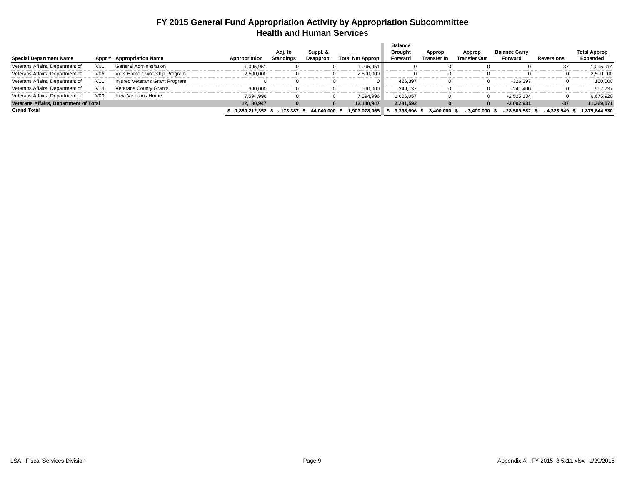#### **FY 2015 General Fund Appropriation Activity by Appropriation Subcommittee Health and Human Services**

|                                       |                 |                                |               |                      |                       |                  | <b>Balance</b>            |                              |                               |                                 |             |                                 |
|---------------------------------------|-----------------|--------------------------------|---------------|----------------------|-----------------------|------------------|---------------------------|------------------------------|-------------------------------|---------------------------------|-------------|---------------------------------|
| <b>Special Department Name</b>        | Appr #          | <b>Appropriation Name</b>      | Appropriation | Adi. to<br>Standings | Suppl. &<br>Deapprop. | Total Net Approp | <b>Brought</b><br>Forward | Approp<br><b>Transfer In</b> | Approp<br><b>Transfer Out</b> | <b>Balance Carry</b><br>Forward | Reversions  | <b>Total Approp</b><br>Expended |
| Veterans Affairs, Department of       | V01             | <b>General Administration</b>  | 1,095,951     |                      |                       | 1,095,951        |                           |                              |                               |                                 | $-37$       | 1,095,914                       |
| Veterans Affairs, Department of       | V06             | Vets Home Ownership Program    | 2,500,000     |                      |                       | 2,500,000        |                           |                              |                               |                                 |             | 2,500,000                       |
| Veterans Affairs, Department of       | V11             | Injured Veterans Grant Program |               |                      |                       |                  | 426,397                   |                              |                               | $-326,397$                      |             | 100,000                         |
| Veterans Affairs, Department of       | V <sub>14</sub> | <b>Veterans County Grants</b>  | 990,000       |                      |                       | 990,000          | 249,137                   |                              |                               | $-241.400$                      |             | 997.737                         |
| Veterans Affairs, Department of       | V <sub>03</sub> | Iowa Veterans Home             | 7,594,996     |                      |                       | 7,594,996        | 1,606,057                 |                              |                               | $-2.525.134$                    |             | 6,675,920                       |
| Veterans Affairs, Department of Total |                 |                                | 12.180.947    |                      | $\bf{0}$              | 12.180.947       | 2.281.592                 |                              |                               | $-3.092.931$                    | $-37$       | 11,369,571                      |
| <b>Grand Total</b>                    |                 |                                | 1.859.212.352 | - 173.387            | 44.040.000 \$         | 1.903.078.965    | 9.398.696                 | 3.400.000                    | $-3.400.000$                  | 28.509.582                      | - 4.323.549 | 1.879.644.530                   |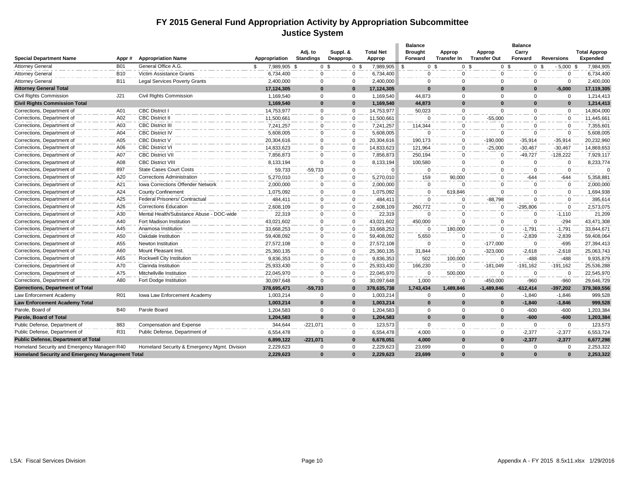#### **FY 2015 General Fund Appropriation Activity by Appropriation Subcommittee Justice System**

|                                                  |            |                                              |                    |                             |                                  |                            | <b>Balance</b>             |                              |                               | <b>Balance</b>   |                   |                                 |
|--------------------------------------------------|------------|----------------------------------------------|--------------------|-----------------------------|----------------------------------|----------------------------|----------------------------|------------------------------|-------------------------------|------------------|-------------------|---------------------------------|
| <b>Special Department Name</b>                   | Appr#      | <b>Appropriation Name</b>                    | Appropriation      | Adj. to<br><b>Standings</b> | Suppl. &<br>Deapprop.            | <b>Total Net</b><br>Approp | <b>Brought</b><br>Forward  | Approp<br><b>Transfer In</b> | Approp<br><b>Transfer Out</b> | Carry<br>Forward | <b>Reversions</b> | <b>Total Approp</b><br>Expended |
| <b>Attorney General</b>                          | <b>B01</b> | General Office A.G.                          | 7,989,905 \$<br>\$ |                             | 0 <sup>5</sup><br>0 <sup>5</sup> | 7,989,905                  | <b>S</b><br>0 <sup>5</sup> | 0 <sup>5</sup>               | 0 <sup>5</sup>                | 0 <sup>5</sup>   | $-5,000$ \$       | 7,984,905                       |
| <b>Attorney General</b>                          | <b>B10</b> | Victim Assistance Grants                     | 6,734,400          | $\mathbf 0$                 | $\mathbf 0$                      | 6,734,400                  | $\mathbf 0$                | $\mathbf 0$                  | $\mathbf 0$                   | $\mathbf 0$      | $\Omega$          | 6,734,400                       |
| <b>Attorney General</b>                          | <b>B11</b> | <b>Legal Services Poverty Grants</b>         | 2,400,000          | 0                           | $\mathbf 0$                      | 2,400,000                  | $\mathbf 0$                | $\mathbf 0$                  | $\Omega$                      | $\mathbf 0$      | $\mathbf{0}$      | 2,400,000                       |
| <b>Attorney General Total</b>                    |            |                                              | 17,124,305         | $\mathbf{0}$                | $\mathbf{0}$                     | 17,124,305                 | $\bf{0}$                   | $\mathbf{0}$                 | $\Omega$                      | $\bf{0}$         | $-5,000$          | 17,119,305                      |
| Civil Rights Commission                          | J21        | <b>Civil Rights Commission</b>               | 1,169,540          | $\mathbf 0$                 | $\mathbf 0$                      | 1,169,540                  | 44,873                     | $\mathbf 0$                  | $\Omega$                      | $\Omega$         | $\Omega$          | 1,214,413                       |
| <b>Civil Rights Commission Total</b>             |            |                                              | 1,169,540          | $\mathbf{0}$                | $\mathbf{0}$                     | 1,169,540                  | 44.873                     | $\mathbf{0}$                 | $\Omega$                      | $\Omega$         | $\Omega$          | 1,214,413                       |
| Corrections, Department of                       | A01        | <b>CBC District I</b>                        | 14,753,977         | $\overline{0}$              | $\mathbf 0$                      | 14,753,977                 | 50,023                     | 0                            | $\mathbf 0$                   | $\mathbf 0$      | $\mathbf{0}$      | 14,804,000                      |
| Corrections, Department of                       | A02        | <b>CBC District II</b>                       | 11,500,661         | $\mathbf{0}$                | $\mathbf 0$                      | 11,500,661                 | $\Omega$                   | $\mathbf 0$                  | $-55.000$                     | $\mathbf 0$      | $\mathbf{0}$      | 11,445,661                      |
| Corrections, Department of                       | A03        | <b>CBC District III</b>                      | 7,241,257          | $\mathbf 0$                 | $\mathbf 0$                      | 7,241,257                  | 114,344                    | $\mathbf 0$                  | $\mathbf 0$                   | $\mathbf 0$      | $\mathbf{0}$      | 7,355,601                       |
| Corrections, Department of                       | A04        | <b>CBC District IV</b>                       | 5,608,005          | 0                           | $\mathbf 0$                      | 5,608,005                  | $\Omega$                   | $\mathbf 0$                  | $\Omega$                      | $\mathbf 0$      | $\Omega$          | 5,608,005                       |
| Corrections, Department of                       | A05        | <b>CBC District V</b>                        | 20,304,616         | 0                           | $\mathbf 0$                      | 20,304,616                 | 190,173                    | 0                            | $-190,000$                    | $-35,914$        | $-35,914$         | 20,232,960                      |
| Corrections, Department of                       | A06        | <b>CBC District VI</b>                       | 14,833,623         | $\mathbf{0}$                | $\mathbf 0$                      | 14,833,623                 | 121,964                    | $\mathbf 0$                  | $-25,000$                     | $-30,467$        | $-30,467$         | 14,869,653                      |
| Corrections, Department of                       | A07        | <b>CBC District VII</b>                      | 7,856,873          | $\mathbf 0$                 | $\mathbf 0$                      | 7,856,873                  | 250,194                    | $\mathbf 0$                  | $\mathbf 0$                   | -49,727          | $-128,222$        | 7,929,117                       |
| Corrections, Department of                       | A08        | <b>CBC District VIII</b>                     | 8,133,194          | $\Omega$                    | $\mathbf 0$                      | 8,133,194                  | 100,580                    | $\mathbf 0$                  | $\mathbf 0$                   | $\mathbf 0$      | $\Omega$          | 8,233,774                       |
| Corrections, Department of                       | 897        | <b>State Cases Court Costs</b>               | 59,733             | $-59,733$                   | $\mathbf 0$                      | $\Omega$                   | $\Omega$                   | $\mathbf 0$                  | $\mathbf 0$                   | $\mathbf 0$      | $\mathbf{0}$      | $\Omega$                        |
| Corrections, Department of                       | A20        | <b>Corrections Administration</b>            | 5,270,010          | $\mathbf 0$                 | $\mathbf 0$                      | 5,270,010                  | 159                        | 90,000                       | $\Omega$                      | $-644$           | $-644$            | 5,358,881                       |
| Corrections, Department of                       | A21        | <b>Iowa Corrections Offender Network</b>     | 2,000,000          | $\mathbf 0$                 | $\mathbf 0$                      | 2,000,000                  | $\Omega$                   | $\Omega$                     | $\Omega$                      | $\Omega$         | $\Omega$          | 2,000,000                       |
| Corrections, Department of                       | A24        | <b>County Confinement</b>                    | 1,075,092          | $\Omega$                    | $\mathbf 0$                      | 1,075,092                  | $\Omega$                   | 619,846                      | $\Omega$                      | $\Omega$         | $\Omega$          | 1,694,938                       |
| Corrections, Department of                       | A25        | Federal Prisoners/ Contractual               | 484,411            | $\mathbf 0$                 | $\mathbf{0}$                     | 484,411                    | $\Omega$                   | $\mathbf 0$                  | $-88,798$                     | $\Omega$         | $\Omega$          | 395,614                         |
| Corrections, Department of                       | A26        | <b>Corrections Education</b>                 | 2,608,109          | 0                           | $\mathbf 0$                      | 2,608,109                  | 260,772                    | $\mathbf 0$                  | $\Omega$                      | $-295.806$       | $\Omega$          | 2,573,075                       |
| Corrections, Department of                       | A30        | Mental Health/Substance Abuse - DOC-wide     | 22,319             | $\mathbf 0$                 | $\mathbf 0$                      | 22,319                     | $\Omega$                   | $\Omega$                     | $\Omega$                      | $\Omega$         | $-1,110$          | 21,209                          |
| Corrections, Department of                       | A40        | Fort Madison Institution                     | 43,021,602         | $\mathbf 0$                 | $\mathbf 0$                      | 43,021,602                 | 450,000                    | $\Omega$                     | $\Omega$                      | $\mathbf 0$      | $-294$            | 43,471,308                      |
| Corrections, Department of                       | A45        | Anamosa Institution                          | 33,668,253         | 0                           | $\mathbf 0$                      | 33,668,253                 | $\Omega$                   | 180,000                      | 0                             | -1,791           | $-1,791$          | 33,844,671                      |
| Corrections, Department of                       | A50        | Oakdale Institution                          | 59,408,092         | $\mathbf 0$                 | $\mathbf 0$                      | 59,408,092                 | 5,650                      | $\mathbf 0$                  | $\Omega$                      | $-2,839$         | $-2,839$          | 59,408,064                      |
| Corrections, Department of                       | A55        | Newton Institution                           | 27,572,108         | $\mathbf 0$                 | $\mathbf{0}$                     | 27,572,108                 | $\Omega$                   | $\Omega$                     | $-177,000$                    | $\mathbf 0$      | $-695$            | 27,394,413                      |
| Corrections, Department of                       | A60        | Mount Pleasant Inst.                         | 25,360,135         | $\mathbf 0$                 | $\mathbf 0$                      | 25,360,135                 | 31,844                     | $\Omega$                     | $-323,000$                    | $-2,618$         | $-2,618$          | 25,063,743                      |
| Corrections, Department of                       | A65        | Rockwell City Institution                    | 9,836,353          | 0                           | $\mathbf 0$                      | 9,836,353                  | 502                        | 100,000                      | $\Omega$                      | $-488$           | $-488$            | 9,935,879                       |
| Corrections, Department of                       | A70        | Clarinda Institution                         | 25,933,430         | $\mathbf{0}$                | $\mathbf 0$                      | 25,933,430                 | 166,230                    | $\mathbf 0$                  | $-181,049$                    | $-191,162$       | $-191,162$        | 25,536,288                      |
| Corrections, Department of                       | A75        | Mitchellville Institution                    | 22,045,970         | $\mathbf 0$                 | $\mathbf{0}$                     | 22,045,970                 | $\Omega$                   | 500,000                      | $\Omega$                      | $\Omega$         | $\Omega$          | 22,545,970                      |
| Corrections, Department of                       | A80        | Fort Dodge Institution                       | 30,097,648         | $\Omega$                    | $\Omega$                         | 30,097,648                 | 1,000                      | $\mathbf 0$                  | $-450,000$                    | $-960$           | $-960$            | 29,646,729                      |
| <b>Corrections, Department of Total</b>          |            |                                              | 378,695,471        | $-59,733$                   | $\mathbf{0}$                     | 378,635,738                | 1,743,434                  | 1,489,846                    | $-1,489,846$                  | $-612,414$       | $-397,202$        | 379,369,556                     |
| Law Enforcement Academy                          | R01        | Iowa Law Enforcement Academy                 | 1,003,214          | $\mathbf 0$                 | $\mathbf 0$                      | 1,003,214                  | $\Omega$                   | $\Omega$                     | $\Omega$                      | $-1,840$         | $-1,846$          | 999,528                         |
| Law Enforcement Academy Total                    |            |                                              | 1,003,214          | $\mathbf{0}$                | $\bf{0}$                         | 1,003,214                  | $\Omega$                   | $\bf{0}$                     | $\bf{0}$                      | $-1,840$         | $-1,846$          | 999,528                         |
| Parole, Board of                                 | <b>B40</b> | Parole Board                                 | 1,204,583          | $\mathbf 0$                 | $\mathbf 0$                      | 1,204,583                  | $\Omega$                   | $\Omega$                     | $\Omega$                      | $-600$           | $-600$            | 1,203,384                       |
| Parole, Board of Total                           |            |                                              | 1,204,583          | $\bf{0}$                    | $\mathbf{0}$                     | 1,204,583                  | $\Omega$                   | $\mathbf{0}$                 | $\bf{0}$                      | $-600$           | $-600$            | 1,203,384                       |
| Public Defense, Department of                    | 883        | Compensation and Expense                     | 344,644            | $-221,071$                  | $\mathbf{0}$                     | 123,573                    | $\Omega$                   | $\mathbf 0$                  | $\Omega$                      | $\mathbf 0$      | $\mathbf{0}$      | 123,573                         |
| Public Defense, Department of                    | R31        | Public Defense, Department of                | 6,554,478          | $\Omega$                    | $\mathbf 0$                      | 6,554,478                  | 4,000                      | $\Omega$                     | $\Omega$                      | $-2,377$         | $-2,377$          | 6,553,724                       |
| <b>Public Defense, Department of Total</b>       |            |                                              | 6,899,122          | $-221.071$                  | $\bf{0}$                         | 6,678,051                  | 4,000                      | $\Omega$                     | $\Omega$                      | $-2,377$         | $-2.377$          | 6,677,298                       |
| Homeland Security and Emergency Managem R40      |            | Homeland Security & Emergency Mgmt. Division | 2,229,623          | $\overline{0}$              | $\Omega$                         | 2,229,623                  | 23,699                     | $\Omega$                     | $\Omega$                      | $\mathbf 0$      | $\Omega$          | 2,253,322                       |
| Homeland Security and Emergency Management Total |            |                                              | 2,229,623          | $\mathbf{0}$                | $\bf{0}$                         | 2,229,623                  | 23,699                     | $\bf{0}$                     | $\Omega$                      | $\Omega$         | $\bf{0}$          | 2,253,322                       |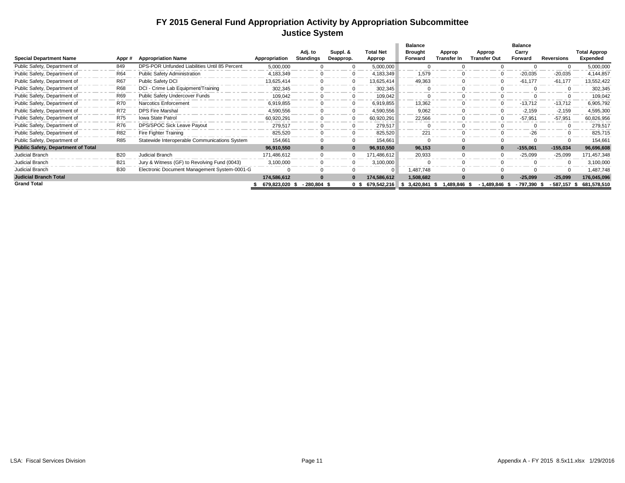#### **FY 2015 General Fund Appropriation Activity by Appropriation Subcommittee Justice System**

|                                           |            |                                               |               |                  |              |                    | <b>Balance</b>    |                    |              | <b>Balance</b> |                   |                     |
|-------------------------------------------|------------|-----------------------------------------------|---------------|------------------|--------------|--------------------|-------------------|--------------------|--------------|----------------|-------------------|---------------------|
|                                           |            |                                               |               | Adj. to          | Suppl. &     | <b>Total Net</b>   | <b>Brought</b>    | Approp             | Approp       | Carry          |                   | <b>Total Approp</b> |
| <b>Special Department Name</b>            | Appr#      | <b>Appropriation Name</b>                     | Appropriation | <b>Standings</b> | Deapprop.    | Approp             | Forward           | <b>Transfer In</b> | Transfer Out | Forward        | <b>Reversions</b> | Expended            |
| Public Safety, Department of              | 849        | DPS-POR Unfunded Liabilities Until 85 Percent | 5,000,000     |                  | $\Omega$     | 5,000,000          |                   |                    |              |                |                   | 5,000,000           |
| Public Safety, Department of              | <b>R64</b> | Public Safety Administration                  | 4,183,349     | 0                | $\Omega$     | 4,183,349          | 1.579             |                    |              | $-20,035$      | $-20,035$         | 4,144,857           |
| Public Safety, Department of              | <b>R67</b> | <b>Public Safety DCI</b>                      | 13,625,414    | 0                | $\Omega$     | 13,625,414         | 49,363            |                    | $\Omega$     | $-61,177$      | $-61,177$         | 13,552,422          |
| Public Safety, Department of              | <b>R68</b> | DCI - Crime Lab Equipment/Training            | 302,345       | 0                | $\Omega$     | 302,345            |                   |                    |              |                |                   | 302,345             |
| Public Safety, Department of              | R69        | Public Safety Undercover Funds                | 109,042       |                  | $\mathbf{0}$ | 109,042            |                   |                    |              |                |                   | 109,042             |
| Public Safety, Department of              | <b>R70</b> | Narcotics Enforcement                         | 6,919,855     |                  | $\mathbf 0$  | 6,919,855          | 13,362            |                    | $\Omega$     | $-13,712$      | $-13.712$         | 6,905,792           |
| Public Safety, Department of              | <b>R72</b> | <b>DPS Fire Marshal</b>                       | 4,590,556     |                  | $\Omega$     | 4,590,556          | 9,062             |                    |              | $-2,159$       | $-2,159$          | 4,595,300           |
| Public Safety, Department of              | <b>R75</b> | <b>Iowa State Patrol</b>                      | 60,920,291    |                  |              | 60,920,291         | 22,566            |                    |              | $-57,951$      | $-57,951$         | 60,826,956          |
| Public Safety, Department of              | <b>R76</b> | DPS/SPOC Sick Leave Payout                    | 279,517       |                  | $\Omega$     | 279,517            |                   |                    |              |                |                   | 279,517             |
| Public Safety, Department of              | <b>R82</b> | Fire Fighter Training                         | 825,520       |                  | $\mathbf{0}$ | 825,520            | 221               |                    |              | $-26$          |                   | 825,715             |
| Public Safety, Department of              | <b>R85</b> | Statewide Interoperable Communications System | 154,661       |                  | $\mathbf{0}$ | 154,661            |                   |                    | $\Omega$     |                |                   | 154,661             |
| <b>Public Safety, Department of Total</b> |            |                                               | 96,910,550    | $\bf{0}$         | $\bf{0}$     | 96,910,550         | 96,153            | 0                  | $\bf{0}$     | $-155,061$     | $-155,034$        | 96,696,608          |
| Judicial Branch                           | <b>B20</b> | Judicial Branch                               | 171,486,612   | $\mathbf 0$      | $\mathbf{0}$ | 171,486,612        | 20,933            |                    | $\Omega$     | $-25,099$      | $-25,099$         | 171,457,348         |
| Judicial Branch                           | <b>B21</b> | Jury & Witness (GF) to Revolving Fund (0043)  | 3,100,000     | 0                | $\mathbf{0}$ | 3,100,000          |                   | $\Omega$           |              |                |                   | 3,100,000           |
| Judicial Branch                           | <b>B30</b> | Electronic Document Management System-0001-G  |               |                  |              |                    | 1,487,748         |                    |              |                |                   | 1,487,748           |
| <b>Judicial Branch Total</b>              |            |                                               | 174,586,612   | $\bf{0}$         | $\bf{0}$     | 174,586,612        | 1,508,682         |                    | $\Omega$     | $-25,099$      | $-25,099$         | 176,045,096         |
| <b>Grand Total</b>                        |            |                                               | 679,823,020   | $-280,804$ \$    |              | $0$ \$ 679,542,216 | 3,420,841<br>- 56 | 1,489,846          | 1,489,846    | - 797,390      | - 587.157         | 681,578,510         |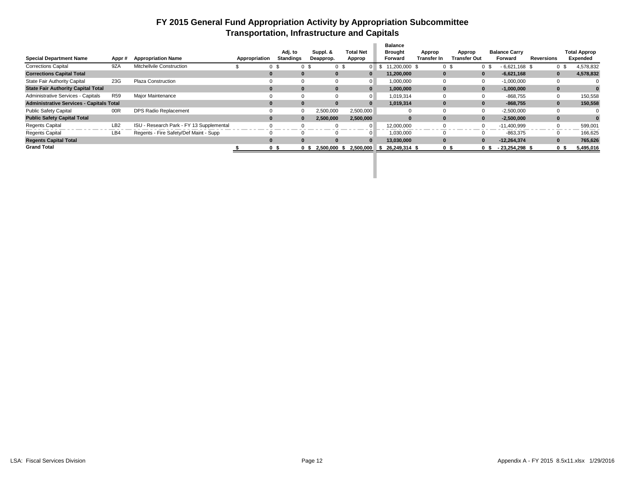#### **FY 2015 General Fund Appropriation Activity by Appropriation Subcommittee Transportation, Infrastructure and Capitals**

|                                                 |                 |                                          |               |                       |                      |                  | <b>Balance</b>             |                |                |                      |                   |                     |
|-------------------------------------------------|-----------------|------------------------------------------|---------------|-----------------------|----------------------|------------------|----------------------------|----------------|----------------|----------------------|-------------------|---------------------|
|                                                 |                 |                                          |               | Adj. to               | Suppl. &             | <b>Total Net</b> | <b>Brought</b>             | Approp         | Approp         | <b>Balance Carry</b> |                   | <b>Total Approp</b> |
| <b>Special Department Name</b>                  | Appr#           | <b>Appropriation Name</b>                | Appropriation | Standings             | Deapprop.            | Approp           | Forward                    | Transfer In    | Transfer Out   | Forward              | <b>Reversions</b> | Expended            |
| <b>Corrections Capital</b>                      | 9ZA             | Mitchellvile Construction                |               | 0 <sup>5</sup><br>0 S |                      |                  | 11.200.000 \$<br>- \$      | 0 <sup>5</sup> | 0 <sup>5</sup> | $-6,621,168$ \$      |                   | 4,578,832           |
| <b>Corrections Capital Total</b>                |                 |                                          |               | $\bf{0}$              |                      |                  | 11,200,000                 |                | 0              | $-6,621,168$         |                   | 4,578,832           |
| <b>State Fair Authority Capital</b>             | 23G             | <b>Plaza Construction</b>                |               | $\Omega$              |                      |                  | 1,000,000                  |                |                | $-1,000,000$         |                   |                     |
| <b>State Fair Authority Capital Total</b>       |                 |                                          |               | $\bf{0}$              |                      |                  | 1.000.000                  | 0              | $\bf{0}$       | $-1.000.000$         | 0                 |                     |
| Administrative Services - Capitals              | <b>R59</b>      | Major Maintenance                        |               | $\Omega$              |                      |                  | 1.019.314                  |                |                | -868.755             |                   | 150,558             |
| <b>Administrative Services - Capitals Total</b> |                 |                                          |               | $\bf{0}$              |                      |                  | 1,019,314                  | 0              | $\bf{0}$       | $-868.755$           |                   | 150,558             |
| <b>Public Safety Capital</b>                    | 00R             | DPS Radio Replacement                    |               | $\Omega$              | 2,500,000            | 2,500,000        |                            |                | $\Omega$       | $-2,500,000$         |                   |                     |
| <b>Public Safety Capital Total</b>              |                 |                                          |               | $\Omega$              | 2,500,000            | 2,500,000        |                            |                | 0              | $-2,500,000$         | $\bf{0}$          |                     |
| <b>Regents Capital</b>                          | LB <sub>2</sub> | ISU - Research Park - FY 13 Supplemental |               |                       |                      | $\Omega$         | 12,000,000                 |                | $\Omega$       | $-11,400,999$        |                   | 599,001             |
| <b>Regents Capital</b>                          | LB4             | Regents - Fire Safety/Def Maint - Supp   |               | $\Omega$              |                      |                  | 1.030.000                  |                |                | $-863.375$           |                   | 166,625             |
| <b>Regents Capital Total</b>                    |                 |                                          |               | $\bf{0}$              |                      | $\bf{0}$         | 13.030.000                 | 0              | $\bf{0}$       | $-12.264.374$        |                   | 765,626             |
| <b>Grand Total</b>                              |                 |                                          |               | 0 \$                  | 2.500.000 \$<br>0 \$ |                  | 2.500.000 \$ 26.249.314 \$ | 0 \$           | 0 S            | $-23.254.298$ \$     | 0 \$              | 5,495,016           |